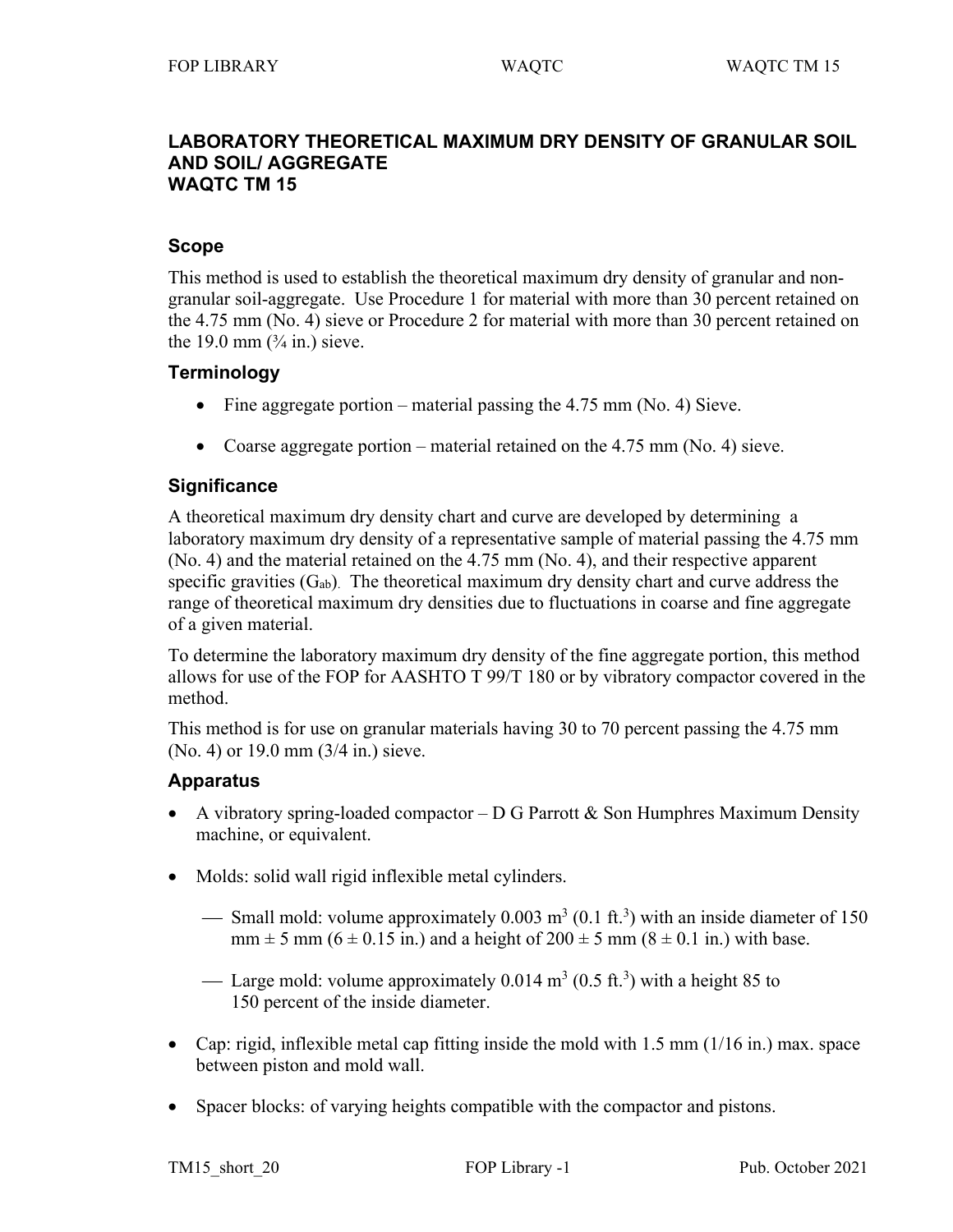#### **LABORATORY THEORETICAL MAXIMUM DRY DENSITY OF GRANULAR SOIL AND SOIL/ AGGREGATE WAQTC TM 15**

## **Scope**

This method is used to establish the theoretical maximum dry density of granular and nongranular soil-aggregate. Use Procedure 1 for material with more than 30 percent retained on the 4.75 mm (No. 4) sieve or Procedure 2 for material with more than 30 percent retained on the 19.0 mm  $(\frac{3}{4}$  in.) sieve.

# **Terminology**

- Fine aggregate portion material passing the 4.75 mm (No. 4) Sieve.
- Coarse aggregate portion material retained on the  $4.75$  mm (No. 4) sieve.

# **Significance**

A theoretical maximum dry density chart and curve are developed by determining a laboratory maximum dry density of a representative sample of material passing the 4.75 mm (No. 4) and the material retained on the 4.75 mm (No. 4), and their respective apparent specific gravities  $(G_{ab})$ . The theoretical maximum dry density chart and curve address the range of theoretical maximum dry densities due to fluctuations in coarse and fine aggregate of a given material.

To determine the laboratory maximum dry density of the fine aggregate portion, this method allows for use of the FOP for AASHTO T 99/T 180 or by vibratory compactor covered in the method.

This method is for use on granular materials having 30 to 70 percent passing the 4.75 mm (No. 4) or 19.0 mm (3/4 in.) sieve.

# **Apparatus**

- A vibratory spring-loaded compactor  $-D G$  Parrott & Son Humphres Maximum Density machine, or equivalent.
- Molds: solid wall rigid inflexible metal cylinders.
	- Small mold: volume approximately  $0.003 \text{ m}^3 (0.1 \text{ ft.}^3)$  with an inside diameter of 150  $mm \pm 5$  mm (6  $\pm$  0.15 in.) and a height of 200  $\pm$  5 mm (8  $\pm$  0.1 in.) with base.
	- Large mold: volume approximately  $0.014 \text{ m}^3$  (0.5 ft.<sup>3</sup>) with a height 85 to 150 percent of the inside diameter.
- Cap: rigid, inflexible metal cap fitting inside the mold with 1.5 mm (1/16 in.) max. space between piston and mold wall.
- Spacer blocks: of varying heights compatible with the compactor and pistons.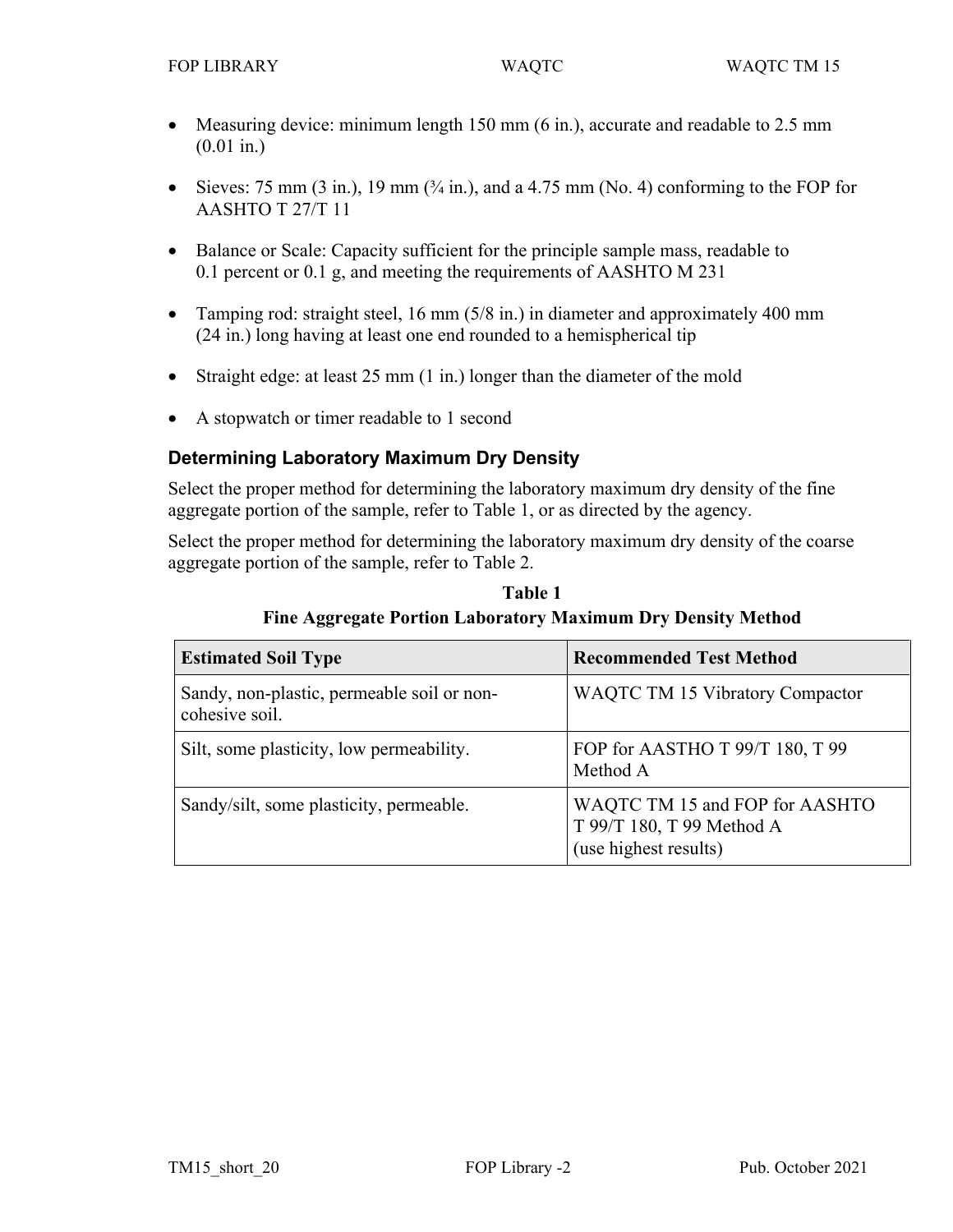- Measuring device: minimum length 150 mm (6 in.), accurate and readable to 2.5 mm (0.01 in.)
- Sieves: 75 mm  $(3 \text{ in.})$ , 19 mm  $(3/4 \text{ in.})$ , and a 4.75 mm (No. 4) conforming to the FOP for AASHTO T 27/T 11
- Balance or Scale: Capacity sufficient for the principle sample mass, readable to 0.1 percent or 0.1 g, and meeting the requirements of AASHTO M 231
- Tamping rod: straight steel, 16 mm (5/8 in.) in diameter and approximately 400 mm (24 in.) long having at least one end rounded to a hemispherical tip
- Straight edge: at least 25 mm (1 in.) longer than the diameter of the mold
- A stopwatch or timer readable to 1 second

# **Determining Laboratory Maximum Dry Density**

Select the proper method for determining the laboratory maximum dry density of the fine aggregate portion of the sample, refer to Table 1, or as directed by the agency.

Select the proper method for determining the laboratory maximum dry density of the coarse aggregate portion of the sample, refer to Table 2.

| <b>Estimated Soil Type</b>                                   | <b>Recommended Test Method</b>                                                       |
|--------------------------------------------------------------|--------------------------------------------------------------------------------------|
| Sandy, non-plastic, permeable soil or non-<br>cohesive soil. | <b>WAQTC TM 15 Vibratory Compactor</b>                                               |
| Silt, some plasticity, low permeability.                     | FOP for AASTHO T 99/T 180, T 99<br>Method A                                          |
| Sandy/silt, some plasticity, permeable.                      | WAQTC TM 15 and FOP for AASHTO<br>T 99/T 180, T 99 Method A<br>(use highest results) |

**Table 1 Fine Aggregate Portion Laboratory Maximum Dry Density Method**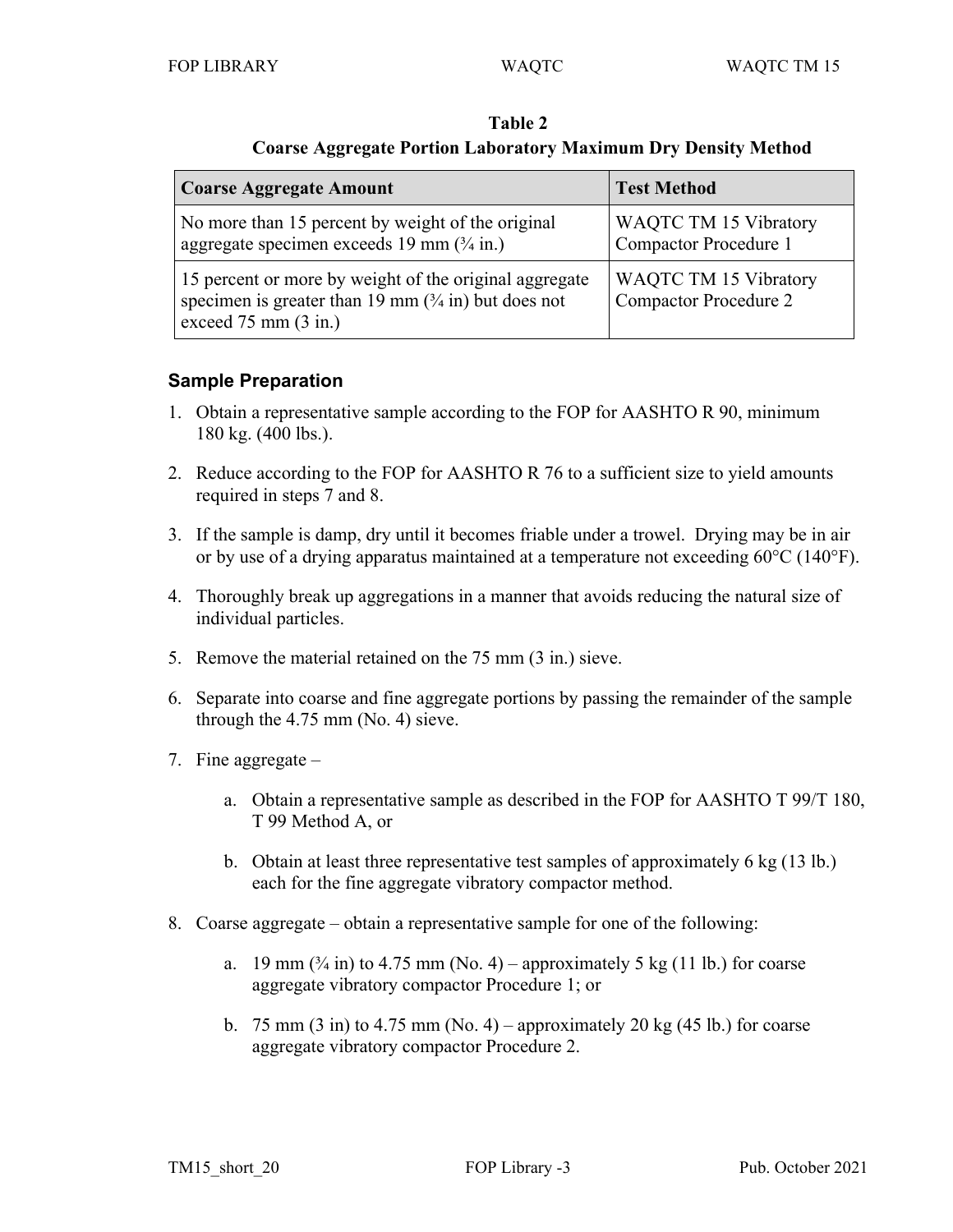| <b>Coarse Aggregate Amount</b>                                                                                                                                       | <b>Test Method</b>                                           |  |  |
|----------------------------------------------------------------------------------------------------------------------------------------------------------------------|--------------------------------------------------------------|--|--|
| No more than 15 percent by weight of the original<br>aggregate specimen exceeds 19 mm $(\frac{3}{4}$ in.)                                                            | <b>WAQTC TM 15 Vibratory</b><br>Compactor Procedure 1        |  |  |
| 15 percent or more by weight of the original aggregate<br>specimen is greater than 19 mm $(3/4 \text{ in})$ but does not<br>exceed $75 \text{ mm}$ $(3 \text{ in.})$ | <b>WAQTC TM 15 Vibratory</b><br><b>Compactor Procedure 2</b> |  |  |

**Table 2 Coarse Aggregate Portion Laboratory Maximum Dry Density Method**

# **Sample Preparation**

- 1. Obtain a representative sample according to the FOP for AASHTO R 90, minimum 180 kg. (400 lbs.).
- 2. Reduce according to the FOP for AASHTO R 76 to a sufficient size to yield amounts required in steps 7 and 8.
- 3. If the sample is damp, dry until it becomes friable under a trowel. Drying may be in air or by use of a drying apparatus maintained at a temperature not exceeding 60°C (140°F).
- 4. Thoroughly break up aggregations in a manner that avoids reducing the natural size of individual particles.
- 5. Remove the material retained on the 75 mm (3 in.) sieve.
- 6. Separate into coarse and fine aggregate portions by passing the remainder of the sample through the 4.75 mm (No. 4) sieve.
- 7. Fine aggregate
	- a. Obtain a representative sample as described in the FOP for AASHTO T 99/T 180, T 99 Method A, or
	- b. Obtain at least three representative test samples of approximately 6 kg (13 lb.) each for the fine aggregate vibratory compactor method.
- 8. Coarse aggregate obtain a representative sample for one of the following:
	- a. 19 mm  $(\frac{3}{4}$  in) to 4.75 mm (No. 4) approximately 5 kg (11 lb.) for coarse aggregate vibratory compactor Procedure 1; or
	- b. 75 mm  $(3 \text{ in})$  to 4.75 mm  $(No. 4)$  approximately 20 kg  $(45 \text{ lb.})$  for coarse aggregate vibratory compactor Procedure 2.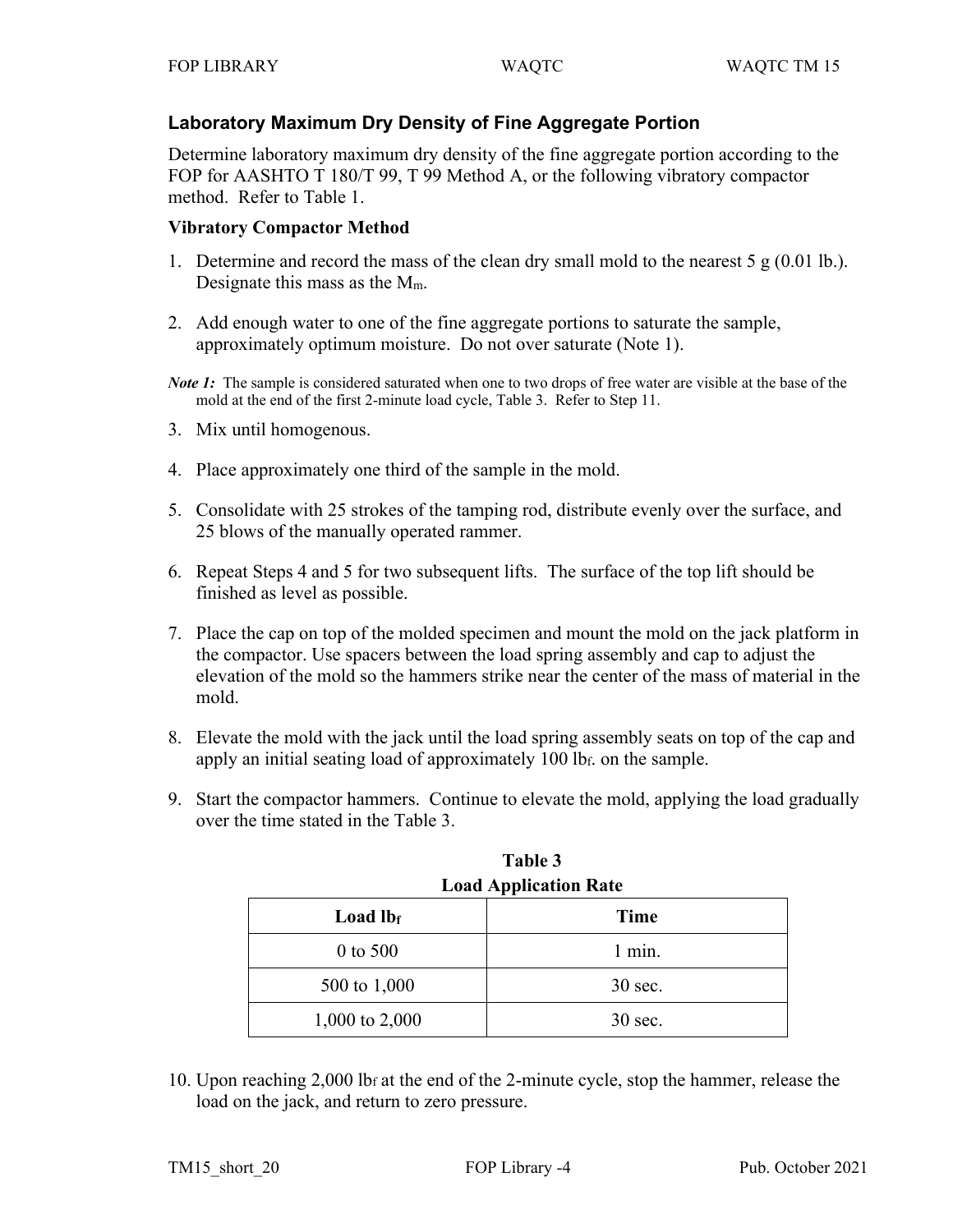# **Laboratory Maximum Dry Density of Fine Aggregate Portion**

Determine laboratory maximum dry density of the fine aggregate portion according to the FOP for AASHTO T 180/T 99, T 99 Method A, or the following vibratory compactor method. Refer to Table 1.

# **Vibratory Compactor Method**

- 1. Determine and record the mass of the clean dry small mold to the nearest  $5 \text{ g} (0.01 \text{ lb.})$ . Designate this mass as the Mm.
- 2. Add enough water to one of the fine aggregate portions to saturate the sample, approximately optimum moisture. Do not over saturate (Note 1).
- *Note 1*: The sample is considered saturated when one to two drops of free water are visible at the base of the mold at the end of the first 2-minute load cycle, Table 3. Refer to Step 11.
- 3. Mix until homogenous.
- 4. Place approximately one third of the sample in the mold.
- 5. Consolidate with 25 strokes of the tamping rod, distribute evenly over the surface, and 25 blows of the manually operated rammer.
- 6. Repeat Steps 4 and 5 for two subsequent lifts. The surface of the top lift should be finished as level as possible.
- 7. Place the cap on top of the molded specimen and mount the mold on the jack platform in the compactor. Use spacers between the load spring assembly and cap to adjust the elevation of the mold so the hammers strike near the center of the mass of material in the mold.
- 8. Elevate the mold with the jack until the load spring assembly seats on top of the cap and apply an initial seating load of approximately 100 lbf. on the sample.
- 9. Start the compactor hammers. Continue to elevate the mold, applying the load gradually over the time stated in the Table 3.

| LUAU Application Raw |           |  |  |
|----------------------|-----------|--|--|
| Load $Ib_f$          | Time      |  |  |
| 0 to 500             | $1$ min.  |  |  |
| 500 to 1,000         | $30$ sec. |  |  |
| 1,000 to 2,000       | $30$ sec. |  |  |

**Table 3 Load Application Rate**

10. Upon reaching 2,000 lbf at the end of the 2-minute cycle, stop the hammer, release the load on the jack, and return to zero pressure.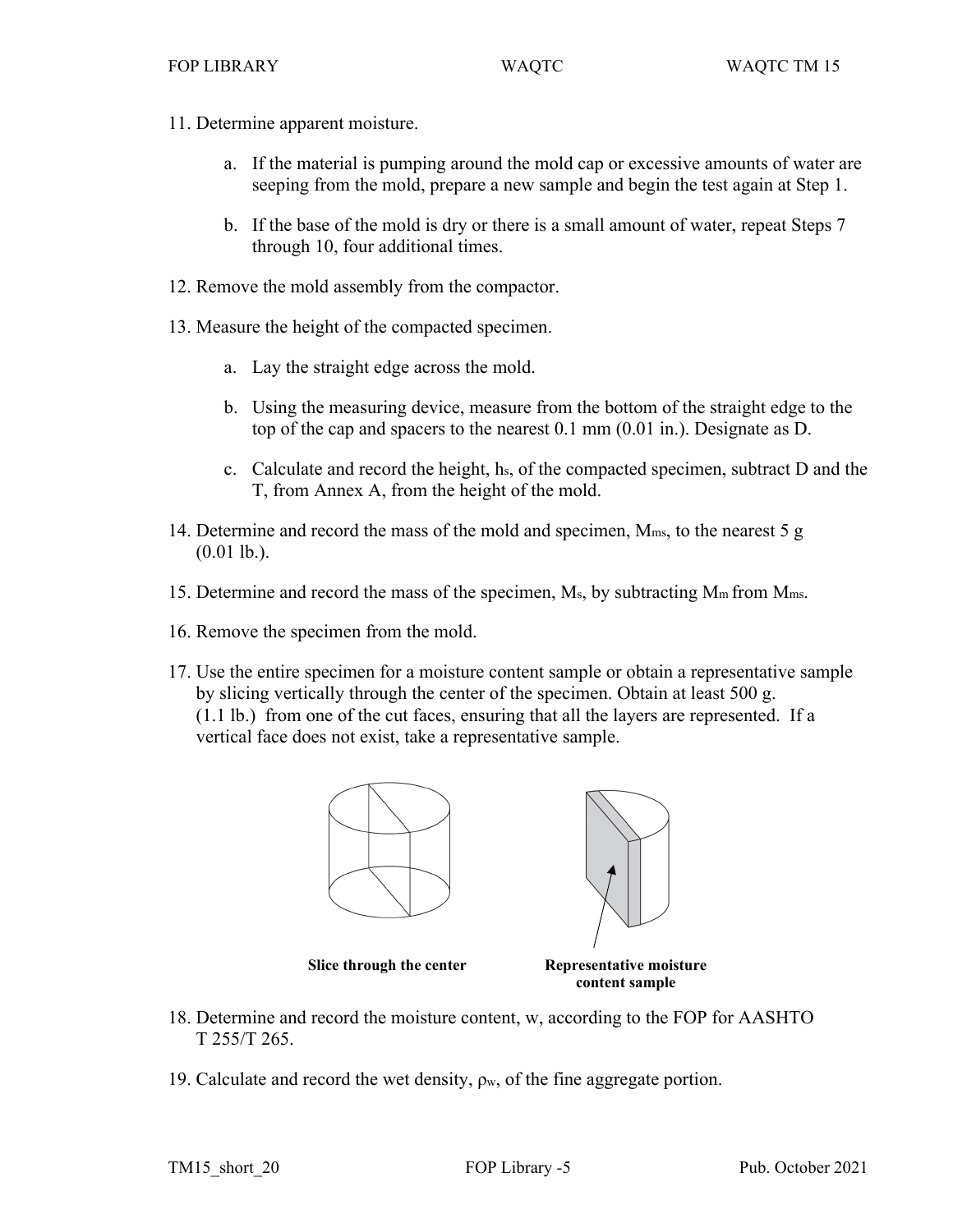- 11. Determine apparent moisture.
	- a. If the material is pumping around the mold cap or excessive amounts of water are seeping from the mold, prepare a new sample and begin the test again at Step 1.
	- b. If the base of the mold is dry or there is a small amount of water, repeat Steps 7 through 10, four additional times.
- 12. Remove the mold assembly from the compactor.
- 13. Measure the height of the compacted specimen.
	- a. Lay the straight edge across the mold.
	- b. Using the measuring device, measure from the bottom of the straight edge to the top of the cap and spacers to the nearest 0.1 mm (0.01 in.). Designate as D.
	- c. Calculate and record the height, hs, of the compacted specimen, subtract D and the T, from Annex A, from the height of the mold.
- 14. Determine and record the mass of the mold and specimen, Mms, to the nearest 5 g  $(0.01$  lb.).
- 15. Determine and record the mass of the specimen,  $M_s$ , by subtracting  $M_m$  from  $M_{ms}$ .
- 16. Remove the specimen from the mold.
- 17. Use the entire specimen for a moisture content sample or obtain a representative sample by slicing vertically through the center of the specimen. Obtain at least 500 g. (1.1 lb.) from one of the cut faces, ensuring that all the layers are represented. If a vertical face does not exist, take a representative sample.



**Slice through the center Representative moisture** 

**content sample**

- 18. Determine and record the moisture content, w, according to the FOP for AASHTO T 255/T 265.
- 19. Calculate and record the wet density,  $\rho_w$ , of the fine aggregate portion.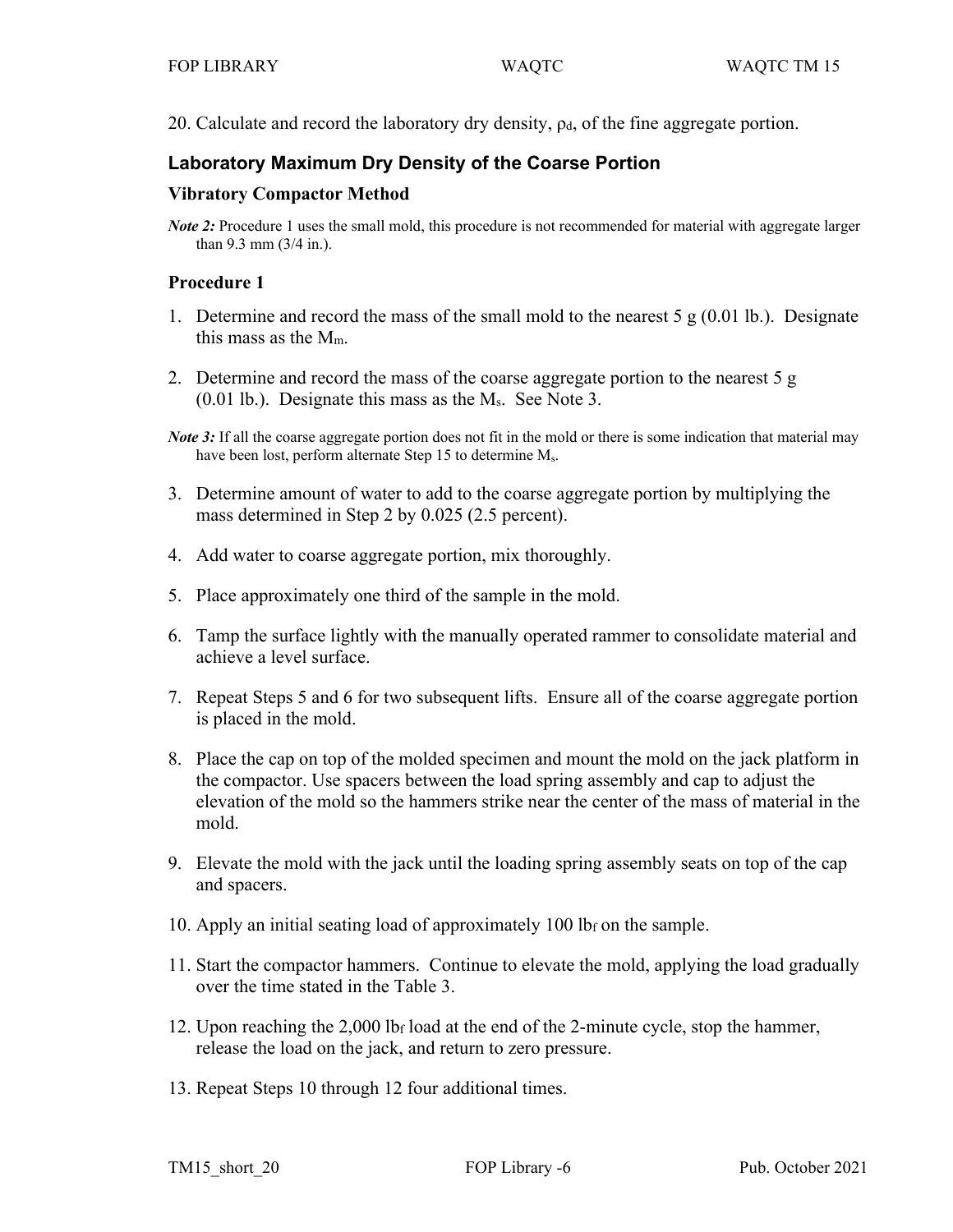20. Calculate and record the laboratory dry density,  $\rho_d$ , of the fine aggregate portion.

# **Laboratory Maximum Dry Density of the Coarse Portion**

#### **Vibratory Compactor Method**

*Note 2*: Procedure 1 uses the small mold, this procedure is not recommended for material with aggregate larger than 9.3 mm (3/4 in.).

#### **Procedure 1**

- 1. Determine and record the mass of the small mold to the nearest  $5 \text{ g} (0.01 \text{ lb})$ . Designate this mass as the  $M_m$ .
- 2. Determine and record the mass of the coarse aggregate portion to the nearest 5 g (0.01 lb.). Designate this mass as the Ms. See Note 3.
- *Note 3*: If all the coarse aggregate portion does not fit in the mold or there is some indication that material may have been lost, perform alternate Step 15 to determine M<sub>s</sub>.
- 3. Determine amount of water to add to the coarse aggregate portion by multiplying the mass determined in Step 2 by 0.025 (2.5 percent).
- 4. Add water to coarse aggregate portion, mix thoroughly.
- 5. Place approximately one third of the sample in the mold.
- 6. Tamp the surface lightly with the manually operated rammer to consolidate material and achieve a level surface.
- 7. Repeat Steps 5 and 6 for two subsequent lifts. Ensure all of the coarse aggregate portion is placed in the mold.
- 8. Place the cap on top of the molded specimen and mount the mold on the jack platform in the compactor. Use spacers between the load spring assembly and cap to adjust the elevation of the mold so the hammers strike near the center of the mass of material in the mold.
- 9. Elevate the mold with the jack until the loading spring assembly seats on top of the cap and spacers.
- 10. Apply an initial seating load of approximately 100 lbf on the sample.
- 11. Start the compactor hammers. Continue to elevate the mold, applying the load gradually over the time stated in the Table 3.
- 12. Upon reaching the 2,000 lbf load at the end of the 2-minute cycle, stop the hammer, release the load on the jack, and return to zero pressure.
- 13. Repeat Steps 10 through 12 four additional times.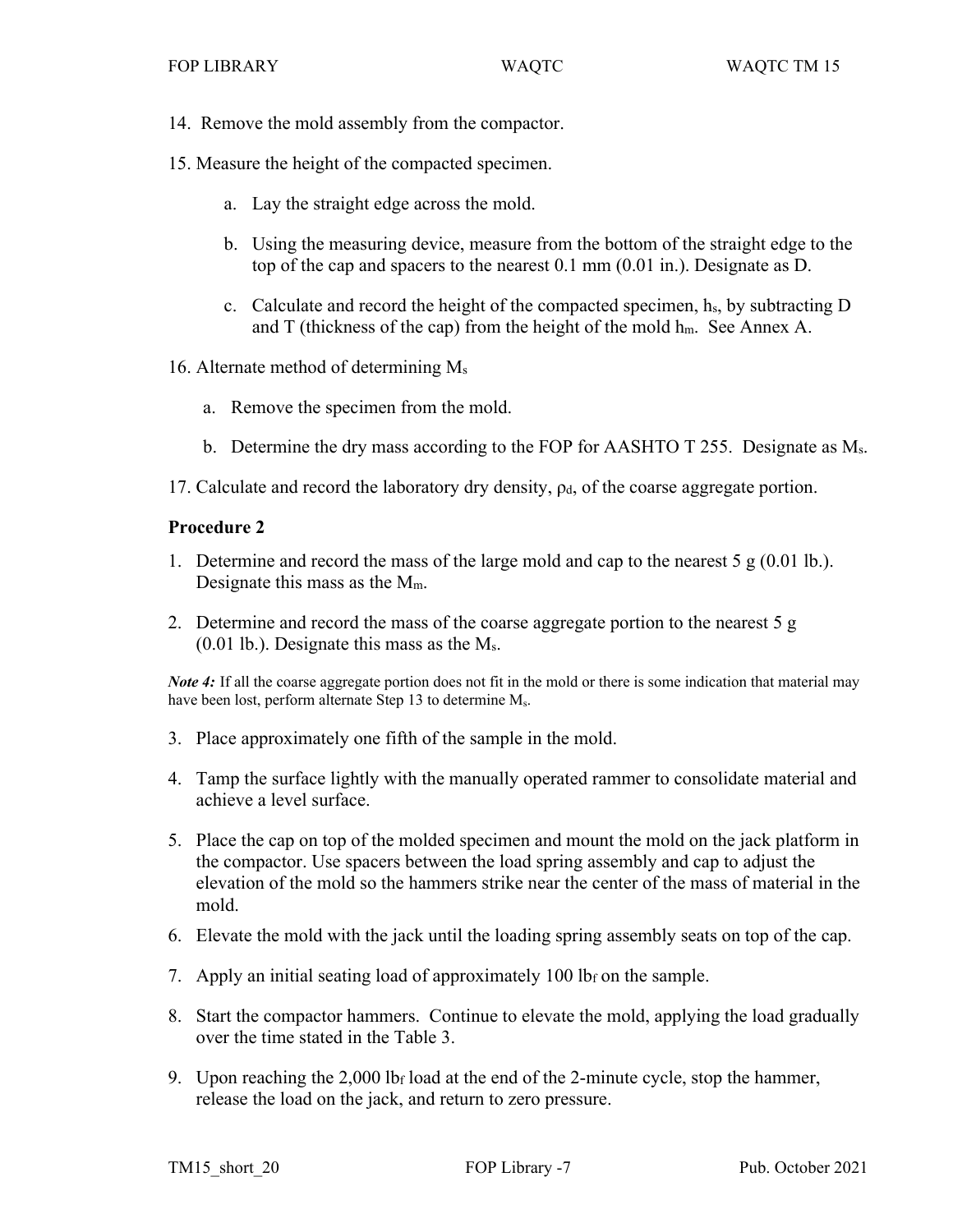- 14. Remove the mold assembly from the compactor.
- 15. Measure the height of the compacted specimen.
	- a. Lay the straight edge across the mold.
	- b. Using the measuring device, measure from the bottom of the straight edge to the top of the cap and spacers to the nearest 0.1 mm (0.01 in.). Designate as D.
	- c. Calculate and record the height of the compacted specimen, hs, by subtracting D and T (thickness of the cap) from the height of the mold  $h_m$ . See Annex A.
- 16. Alternate method of determining Ms
	- a. Remove the specimen from the mold.
	- b. Determine the dry mass according to the FOP for AASHTO T 255. Designate as Ms.
- 17. Calculate and record the laboratory dry density,  $\rho_d$ , of the coarse aggregate portion.

## **Procedure 2**

- 1. Determine and record the mass of the large mold and cap to the nearest  $5 \text{ g} (0.01 \text{ lb.})$ . Designate this mass as the Mm.
- 2. Determine and record the mass of the coarse aggregate portion to the nearest 5 g (0.01 lb.). Designate this mass as the Ms.

*Note 4*: If all the coarse aggregate portion does not fit in the mold or there is some indication that material may have been lost, perform alternate Step 13 to determine M<sub>s</sub>.

- 3. Place approximately one fifth of the sample in the mold.
- 4. Tamp the surface lightly with the manually operated rammer to consolidate material and achieve a level surface.
- 5. Place the cap on top of the molded specimen and mount the mold on the jack platform in the compactor. Use spacers between the load spring assembly and cap to adjust the elevation of the mold so the hammers strike near the center of the mass of material in the mold.
- 6. Elevate the mold with the jack until the loading spring assembly seats on top of the cap.
- 7. Apply an initial seating load of approximately 100 lb<sub>f</sub> on the sample.
- 8. Start the compactor hammers. Continue to elevate the mold, applying the load gradually over the time stated in the Table 3.
- 9. Upon reaching the  $2,000$  lb<sub>f</sub> load at the end of the 2-minute cycle, stop the hammer, release the load on the jack, and return to zero pressure.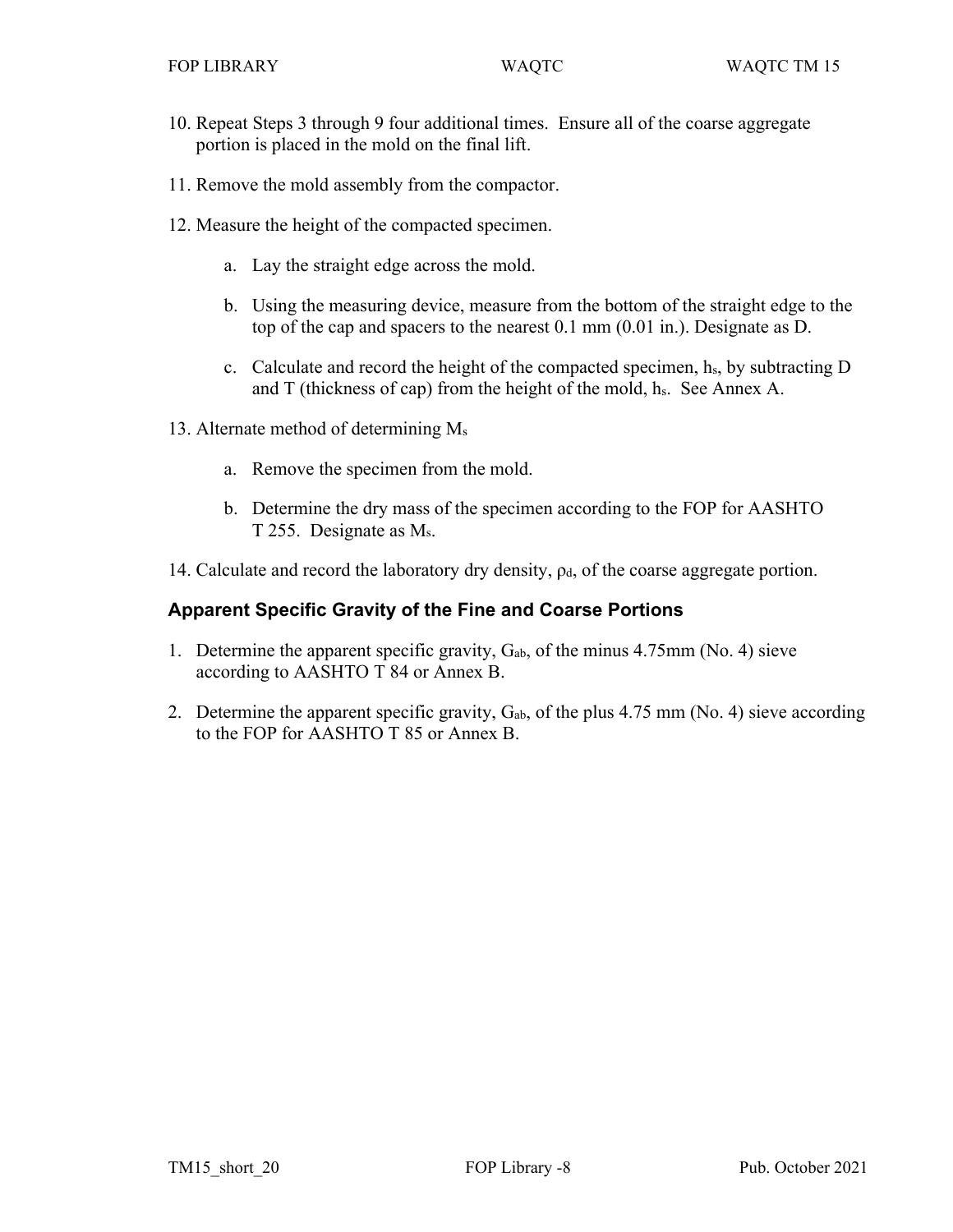- 10. Repeat Steps 3 through 9 four additional times. Ensure all of the coarse aggregate portion is placed in the mold on the final lift.
- 11. Remove the mold assembly from the compactor.
- 12. Measure the height of the compacted specimen.
	- a. Lay the straight edge across the mold.
	- b. Using the measuring device, measure from the bottom of the straight edge to the top of the cap and spacers to the nearest 0.1 mm (0.01 in.). Designate as D.
	- c. Calculate and record the height of the compacted specimen, hs, by subtracting D and  $T$  (thickness of cap) from the height of the mold,  $h_s$ . See Annex A.
- 13. Alternate method of determining Ms
	- a. Remove the specimen from the mold.
	- b. Determine the dry mass of the specimen according to the FOP for AASHTO T 255. Designate as Ms.
- 14. Calculate and record the laboratory dry density,  $\rho_d$ , of the coarse aggregate portion.

# **Apparent Specific Gravity of the Fine and Coarse Portions**

- 1. Determine the apparent specific gravity,  $G_{ab}$ , of the minus 4.75mm (No. 4) sieve according to AASHTO T 84 or Annex B.
- 2. Determine the apparent specific gravity,  $G_{ab}$ , of the plus 4.75 mm (No. 4) sieve according to the FOP for AASHTO T 85 or Annex B.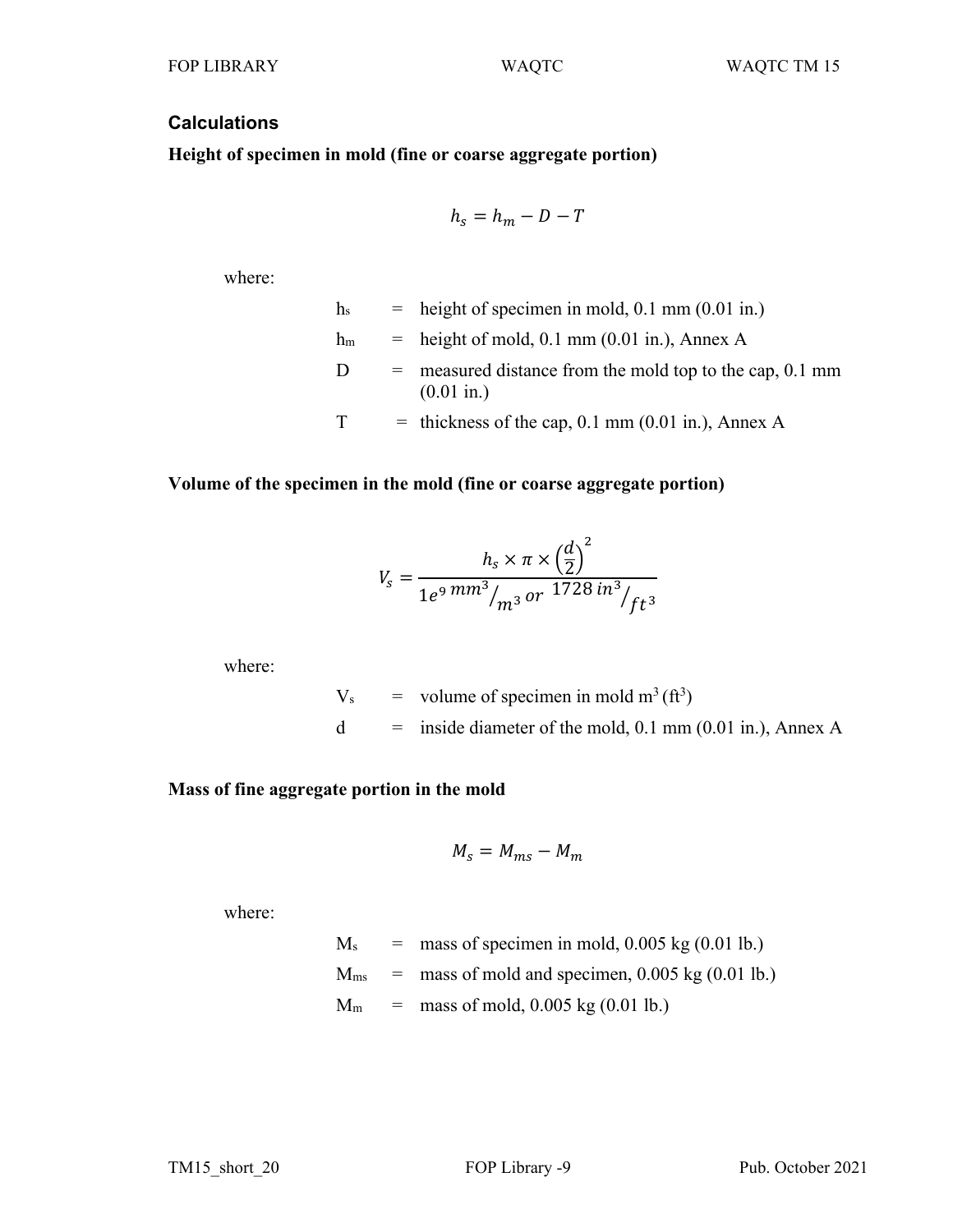## **Calculations**

**Height of specimen in mold (fine or coarse aggregate portion)**

$$
h_s = h_m - D - T
$$

where:

 $h<sub>s</sub>$  = height of specimen in mold, 0.1 mm (0.01 in.)  $h_m$  = height of mold, 0.1 mm (0.01 in.), Annex A  $D =$  measured distance from the mold top to the cap, 0.1 mm (0.01 in.)  $T =$  thickness of the cap, 0.1 mm (0.01 in.), Annex A

#### **Volume of the specimen in the mold (fine or coarse aggregate portion)**

$$
V_s = \frac{h_s \times \pi \times \left(\frac{d}{2}\right)^2}{1e^9 \, mm^3 /_{m^3} \, or \, 1728 \, in^3 /_{ft^3}}
$$

where:

 $V_s$  = volume of specimen in mold m<sup>3</sup> (ft<sup>3</sup>)  $d =$  inside diameter of the mold, 0.1 mm (0.01 in.), Annex A

## **Mass of fine aggregate portion in the mold**

$$
M_s = M_{ms} - M_m
$$

where:

 $M<sub>s</sub>$  = mass of specimen in mold, 0.005 kg (0.01 lb.)  $M<sub>ms</sub>$  = mass of mold and specimen, 0.005 kg (0.01 lb.)  $M_m$  = mass of mold, 0.005 kg (0.01 lb.)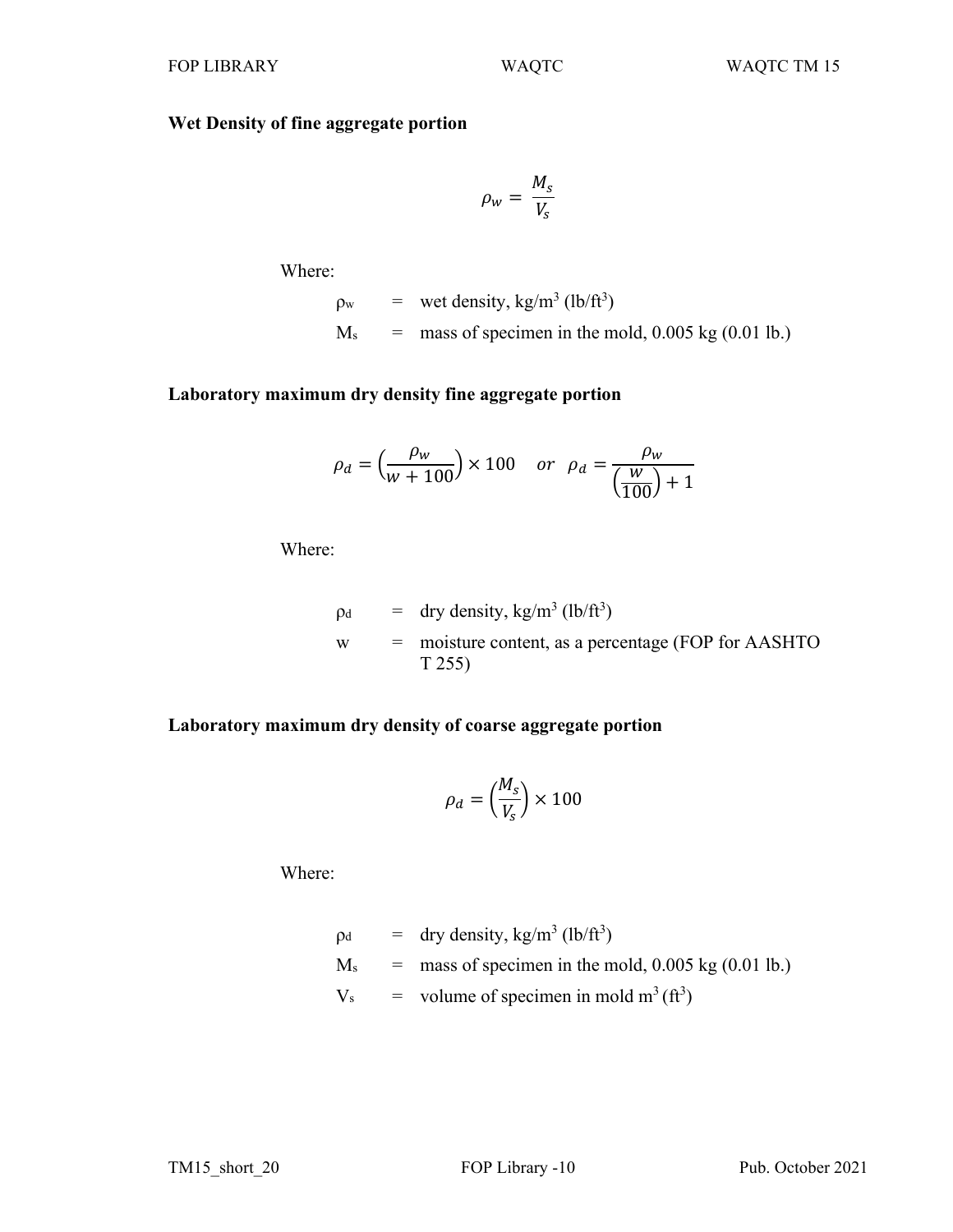# **Wet Density of fine aggregate portion**

$$
\rho_w = \frac{M_s}{V_s}
$$

Where:

 $\rho_{\rm w}$  = wet density, kg/m<sup>3</sup> (lb/ft<sup>3</sup>)  $M<sub>s</sub>$  = mass of specimen in the mold, 0.005 kg (0.01 lb.)

# **Laboratory maximum dry density fine aggregate portion**

$$
\rho_d = \left(\frac{\rho_w}{w + 100}\right) \times 100 \quad or \quad \rho_d = \frac{\rho_w}{\left(\frac{w}{100}\right) + 1}
$$

Where:

$$
p_d = dry density, kg/m3 (lb/ft3)
$$
  
 
$$
= \text{moisture content, as a percentage (FOP for AASHTO T 255)}
$$

# **Laboratory maximum dry density of coarse aggregate portion**

$$
\rho_d = \left(\frac{M_s}{V_s}\right) \times 100
$$

Where:

$$
p_d = dry density, kg/m3 (lb/ft3)
$$
  
\n
$$
M_s = mass of specimen in the mold, 0.005 kg (0.01 lb.)
$$
  
\n
$$
V_s = volume of specimen in mold m3 (ft3)
$$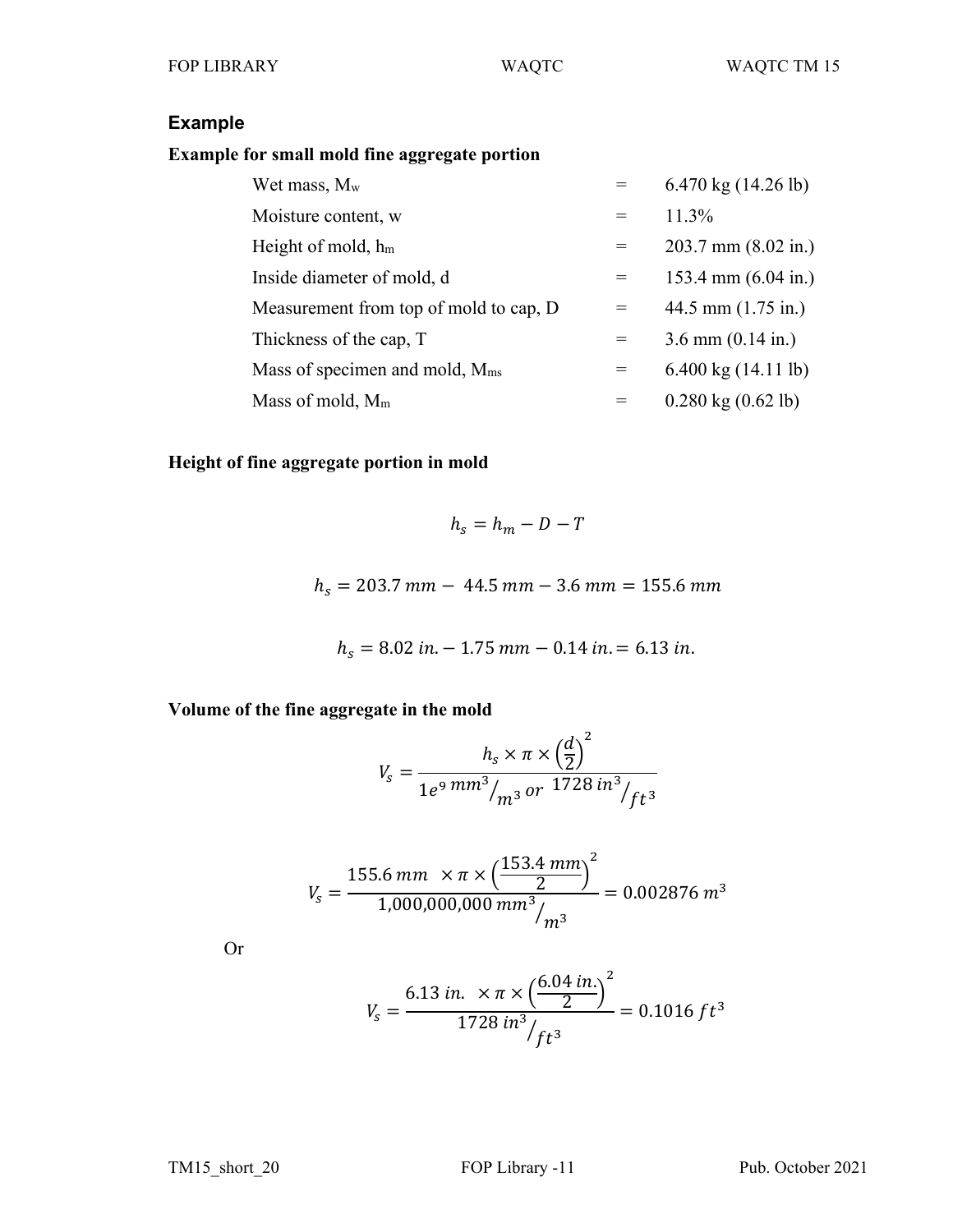# **Example**

# **Example for small mold fine aggregate portion**

| Wet mass, $M_w$                            | $=$ | 6.470 kg $(14.26 \text{ lb})$        |
|--------------------------------------------|-----|--------------------------------------|
| Moisture content, w                        | $=$ | $11.3\%$                             |
| Height of mold, $h_m$                      | $=$ | $203.7$ mm $(8.02$ in.)              |
| Inside diameter of mold, d                 | $=$ | 153.4 mm $(6.04 \text{ in.})$        |
| Measurement from top of mold to cap, D     |     | 44.5 mm $(1.75 \text{ in.})$         |
| Thickness of the cap, T                    | $=$ | $3.6$ mm $(0.14$ in.)                |
| Mass of specimen and mold, $M_{\text{ms}}$ | $=$ | 6.400 kg $(14.11 \text{ lb})$        |
| Mass of mold, $M_m$                        |     | $0.280 \text{ kg} (0.62 \text{ lb})$ |

# **Height of fine aggregate portion in mold**

$$
h_s = h_m - D - T
$$

 $h_s = 203.7$  mm  $- 44.5$  mm  $- 3.6$  mm  $= 155.6$  mm

$$
h_s = 8.02 \text{ in.} - 1.75 \text{ mm} - 0.14 \text{ in.} = 6.13 \text{ in.}
$$

**Volume of the fine aggregate in the mold** 

$$
V_s = \frac{h_s \times \pi \times \left(\frac{d}{2}\right)^2}{1e^9 \, mm^3 /_{m^3} \, or \, 1728 \, in^3 /_{ft^3}}
$$

$$
V_s = \frac{155.6 \, \text{mm} \times \pi \times \left(\frac{153.4 \, \text{mm}}{2}\right)^2}{1,000,000,000 \, \text{mm}^3 / \text{m}^3} = 0.002876 \, \text{m}^3
$$

Or

$$
V_s = \frac{6.13 \text{ in.} \times \pi \times \left(\frac{6.04 \text{ in.}}{2}\right)^2}{1728 \text{ in}^3 / ft^3} = 0.1016 \text{ ft}^3
$$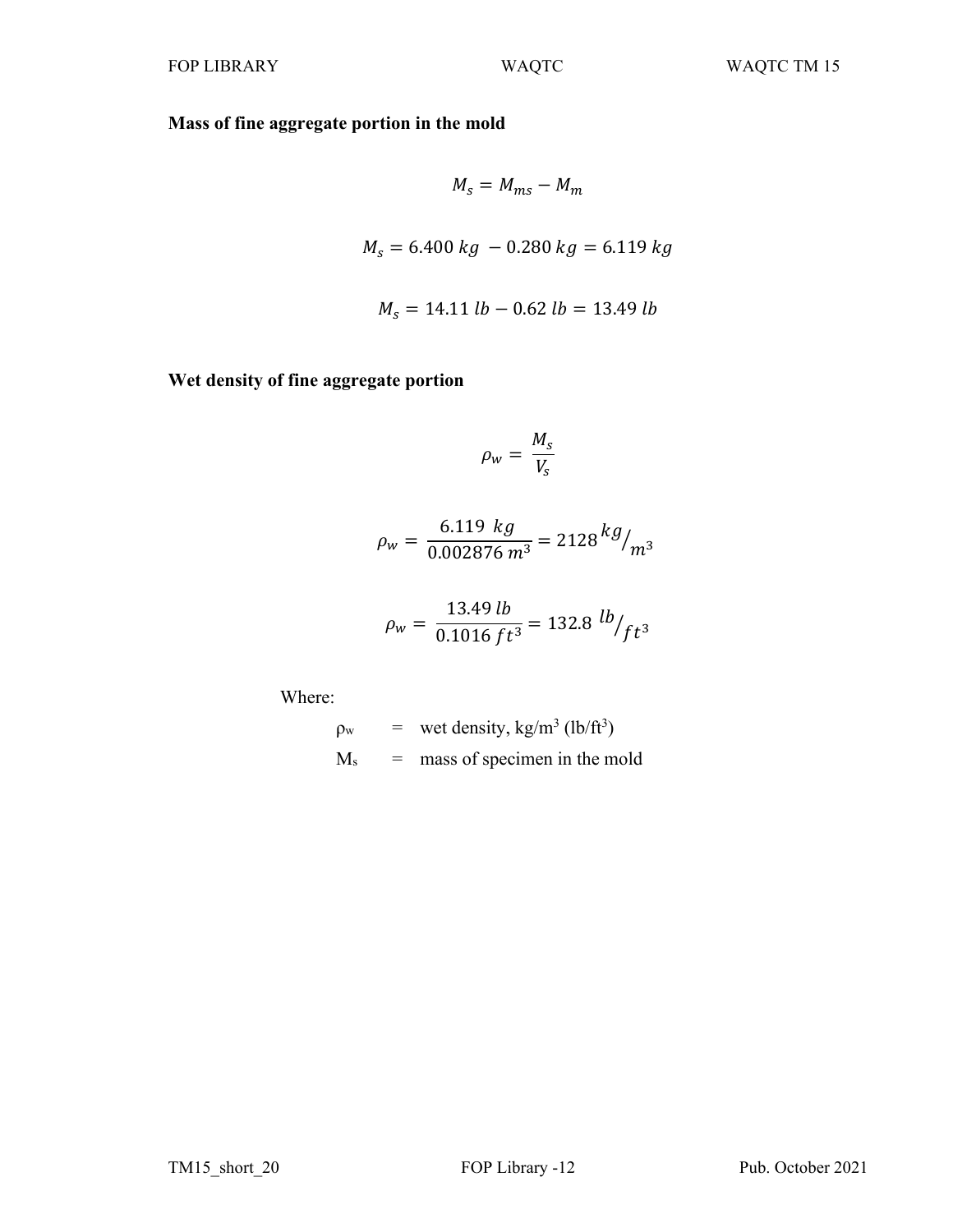**Mass of fine aggregate portion in the mold** 

$$
M_s = M_{ms} - M_m
$$
  

$$
M_s = 6.400 kg - 0.280 kg = 6.119 kg
$$
  

$$
M_s = 14.11 lb - 0.62 lb = 13.49 lb
$$

**Wet density of fine aggregate portion** 

$$
\rho_w = \frac{M_s}{V_s}
$$

$$
\rho_w = \frac{6.119 \text{ kg}}{0.002876 \text{ m}^3} = 2128 \frac{\text{kg}}{\text{m}^3}
$$

$$
\rho_w = \frac{13.49 \, lb}{0.1016 \, ft^3} = 132.8 \, lb /_{ft^3}
$$

Where:

$$
p_w = wet density, kg/m3 (lb/ft3)
$$
  

$$
M_s = mass of specimen in the mold
$$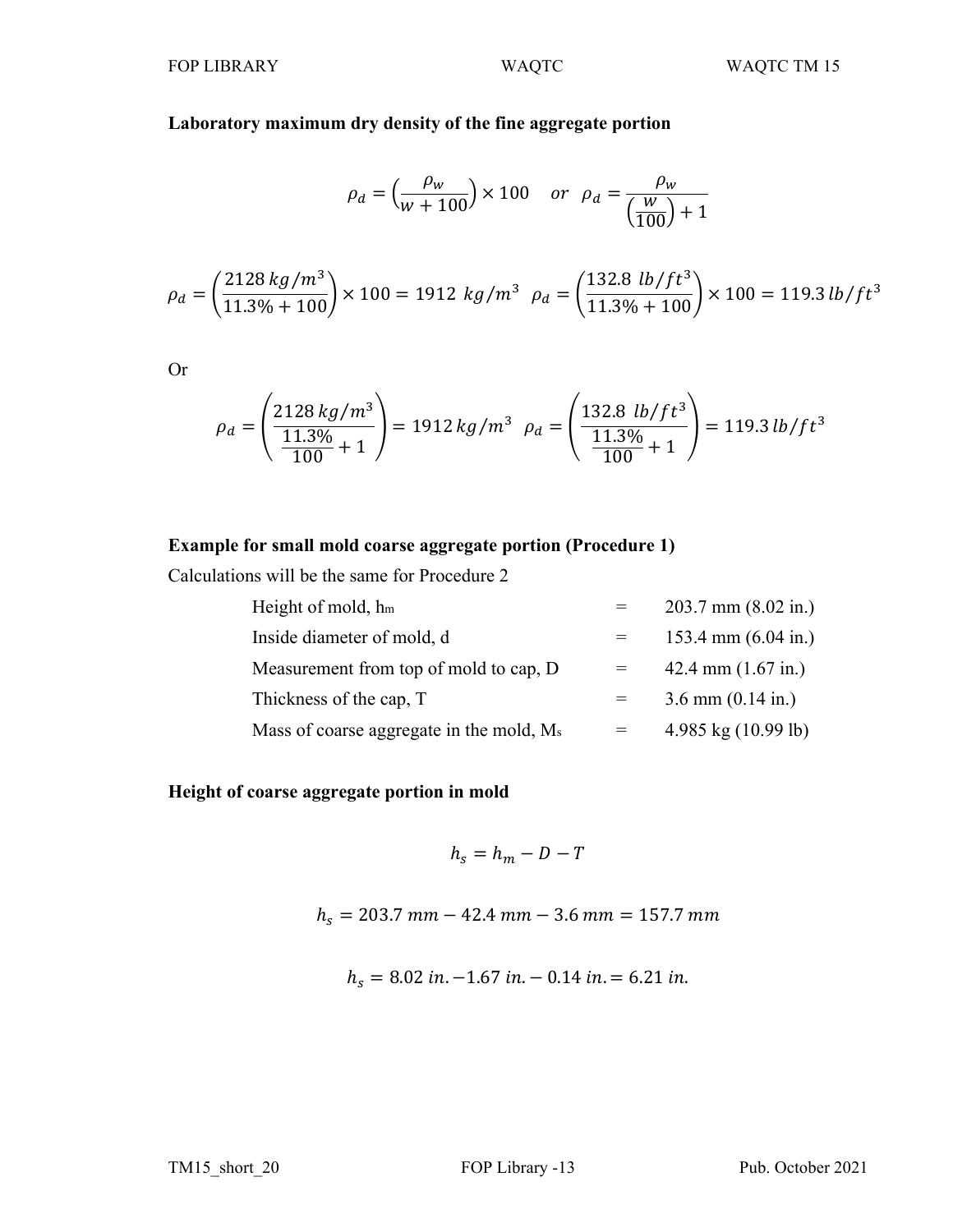# **Laboratory maximum dry density of the fine aggregate portion**

$$
\rho_d = \left(\frac{\rho_w}{w + 100}\right) \times 100 \quad or \quad \rho_d = \frac{\rho_w}{\left(\frac{w}{100}\right) + 1}
$$

$$
\rho_d = \left(\frac{2128\,kg/m^3}{11.3\% + 100}\right) \times 100 = 1912\ kg/m^3\ \rho_d = \left(\frac{132.8\ lb/ft^3}{11.3\% + 100}\right) \times 100 = 119.3\ lb/ft^3
$$

Or

$$
\rho_d = \left(\frac{2128 \, kg/m^3}{11.3\% + 1}\right) = 1912 \, kg/m^3 \quad \rho_d = \left(\frac{132.8 \, lb/ft^3}{11.3\% + 1}\right) = 119.3 \, lb/ft^3
$$

# **Example for small mold coarse aggregate portion (Procedure 1)**

Calculations will be the same for Procedure 2

| Height of mold, $h_m$                                | $203.7$ mm $(8.02$ in.)       |
|------------------------------------------------------|-------------------------------|
| Inside diameter of mold, d                           | 153.4 mm $(6.04 \text{ in.})$ |
| Measurement from top of mold to cap, D               | 42.4 mm $(1.67 \text{ in.})$  |
| Thickness of the cap, T                              | $3.6$ mm $(0.14$ in.)         |
| Mass of coarse aggregate in the mold, M <sub>s</sub> | 4.985 kg $(10.99$ lb)         |

# **Height of coarse aggregate portion in mold**

$$
h_s = h_m - D - T
$$

 $h_s = 203.7$  mm  $- 42.4$  mm  $- 3.6$  mm  $= 157.7$  mm

 $h_s = 8.02$  in.  $-1.67$  in.  $-0.14$  in.  $= 6.21$  in.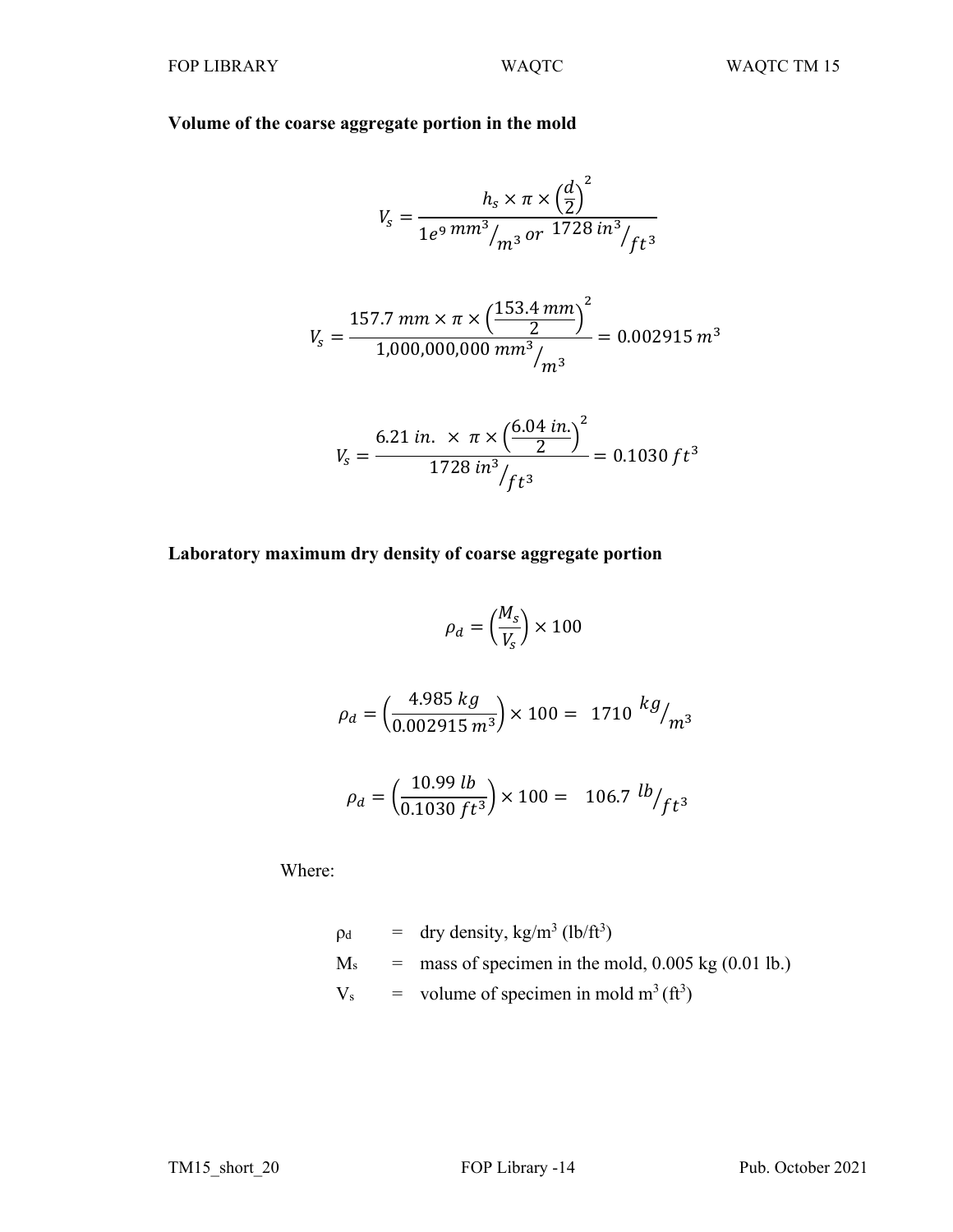# **Volume of the coarse aggregate portion in the mold**

$$
V_s = \frac{h_s \times \pi \times \left(\frac{d}{2}\right)^2}{1e^9 \, mm^3 /_{m^3} \, or \, 1728 \, in^3 /_{ft^3}}
$$

$$
V_s = \frac{157.7 \, \text{mm} \times \pi \times \left(\frac{153.4 \, \text{mm}}{2}\right)^2}{1,000,000,000 \, \text{mm}^3 /_{m^3}} = 0.002915 \, \text{m}^3
$$

$$
V_s = \frac{6.21 \text{ in.} \times \pi \times \left(\frac{6.04 \text{ in.}}{2}\right)^2}{1728 \text{ in}^3 / ft^3} = 0.1030 \text{ ft}^3
$$

# **Laboratory maximum dry density of coarse aggregate portion**

$$
\rho_d = \left(\frac{M_s}{V_s}\right) \times 100
$$

$$
\rho_d = \left(\frac{4.985 \, kg}{0.002915 \, m^3}\right) \times 100 = 1710 \, kg /_{m^3}
$$

$$
\rho_d = \left(\frac{10.99 \, lb}{0.1030 \, ft^3}\right) \times 100 = 106.7 \, lb/ft^3
$$

Where:

$$
\rho_d = \text{dry density}, \text{kg/m}^3 \text{ (lb/ft}^3)
$$
  
\n
$$
M_s = \text{mass of specimen in the mold}, 0.005 \text{ kg} \text{ (0.01 lb.)}
$$
  
\n
$$
V_s = \text{volume of specimen in mold m}^3 \text{ (ft}^3)
$$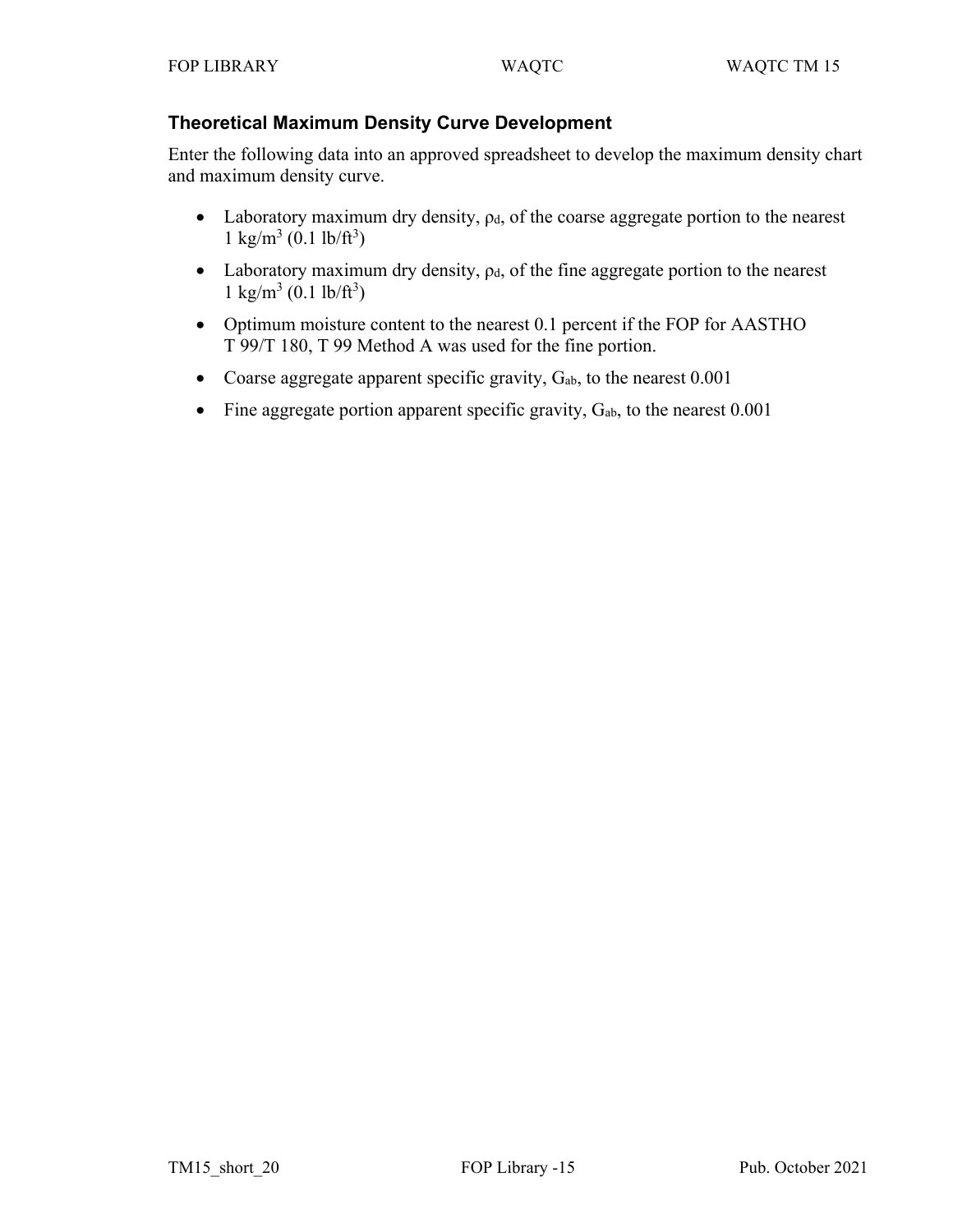## **Theoretical Maximum Density Curve Development**

Enter the following data into an approved spreadsheet to develop the maximum density chart and maximum density curve.

- Laboratory maximum dry density,  $\rho_d$ , of the coarse aggregate portion to the nearest  $1 \text{ kg/m}^3 (0.1 \text{ lb/ft}^3)$
- Laboratory maximum dry density,  $\rho_d$ , of the fine aggregate portion to the nearest  $1 \text{ kg/m}^3 (0.1 \text{ lb/ft}^3)$
- Optimum moisture content to the nearest 0.1 percent if the FOP for AASTHO T 99/T 180, T 99 Method A was used for the fine portion.
- Coarse aggregate apparent specific gravity,  $G_{ab}$ , to the nearest  $0.001$
- Fine aggregate portion apparent specific gravity,  $G_{ab}$ , to the nearest 0.001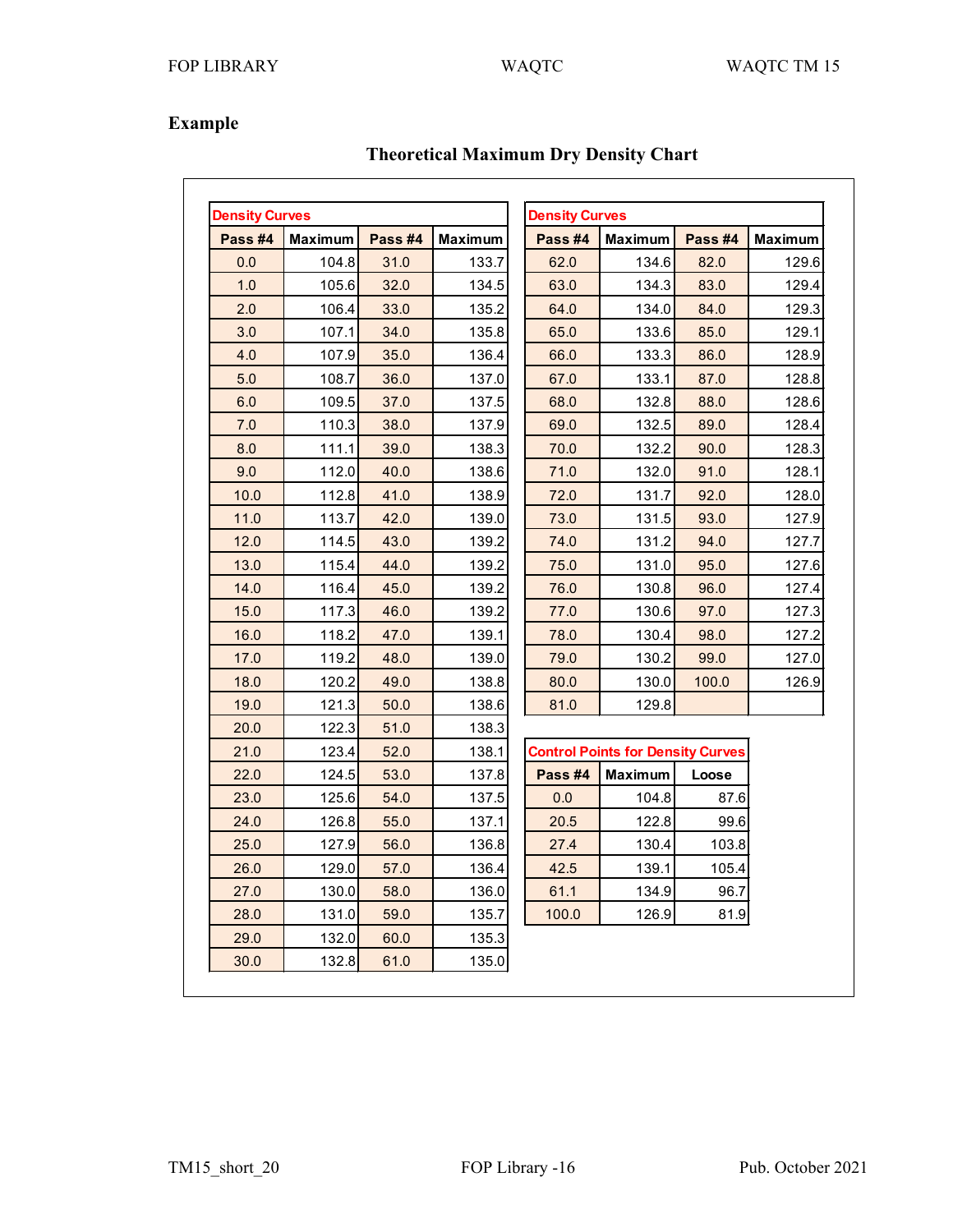# **Example**

| <b>Density Curves</b> |                |         |                | <b>Density Curves</b> |                                          |         |                |
|-----------------------|----------------|---------|----------------|-----------------------|------------------------------------------|---------|----------------|
| Pass #4               | <b>Maximum</b> | Pass #4 | <b>Maximum</b> | Pass #4               | <b>Maximum</b>                           | Pass #4 | <b>Maximum</b> |
| 0.0                   | 104.8          | 31.0    | 133.7          | 62.0                  | 134.6                                    | 82.0    | 129.6          |
| 1.0                   | 105.6          | 32.0    | 134.5          | 63.0                  | 134.3                                    | 83.0    | 129.4          |
| 2.0                   | 106.4          | 33.0    | 135.2          | 64.0                  | 134.0                                    | 84.0    | 129.3          |
| 3.0                   | 107.1          | 34.0    | 135.8          | 65.0                  | 133.6                                    | 85.0    | 129.1          |
| 4.0                   | 107.9          | 35.0    | 136.4          | 66.0                  | 133.3                                    | 86.0    | 128.9          |
| 5.0                   | 108.7          | 36.0    | 137.0          | 67.0                  | 133.1                                    | 87.0    | 128.8          |
| 6.0                   | 109.5          | 37.0    | 137.5          | 68.0                  | 132.8                                    | 88.0    | 128.6          |
| 7.0                   | 110.3          | 38.0    | 137.9          | 69.0                  | 132.5                                    | 89.0    | 128.4          |
| 8.0                   | 111.1          | 39.0    | 138.3          | 70.0                  | 132.2                                    | 90.0    | 128.3          |
| 9.0                   | 112.0          | 40.0    | 138.6          | 71.0                  | 132.0                                    | 91.0    | 128.1          |
| 10.0                  | 112.8          | 41.0    | 138.9          | 72.0                  | 131.7                                    | 92.0    | 128.0          |
| 11.0                  | 113.7          | 42.0    | 139.0          | 73.0                  | 131.5                                    | 93.0    | 127.9          |
| 12.0                  | 114.5          | 43.0    | 139.2          | 74.0                  | 131.2                                    | 94.0    | 127.7          |
| 13.0                  | 115.4          | 44.0    | 139.2          | 75.0                  | 131.0                                    | 95.0    | 127.6          |
| 14.0                  | 116.4          | 45.0    | 139.2          | 76.0                  | 130.8                                    | 96.0    | 127.4          |
| 15.0                  | 117.3          | 46.0    | 139.2          | 77.0                  | 130.6                                    | 97.0    | 127.3          |
| 16.0                  | 118.2          | 47.0    | 139.1          | 78.0                  | 130.4                                    | 98.0    | 127.2          |
| 17.0                  | 119.2          | 48.0    | 139.0          | 79.0                  | 130.2                                    | 99.0    | 127.0          |
| 18.0                  | 120.2          | 49.0    | 138.8          | 80.0                  | 130.0                                    | 100.0   | 126.9          |
| 19.0                  | 121.3          | 50.0    | 138.6          | 81.0                  | 129.8                                    |         |                |
| 20.0                  | 122.3          | 51.0    | 138.3          |                       |                                          |         |                |
| 21.0                  | 123.4          | 52.0    | 138.1          |                       | <b>Control Points for Density Curves</b> |         |                |
| 22.0                  | 124.5          | 53.0    | 137.8          | Pass #4               | <b>Maximum</b>                           | Loose   |                |
| 23.0                  | 125.6          | 54.0    | 137.5          | 0.0                   | 104.8                                    | 87.6    |                |
| 24.0                  | 126.8          | 55.0    | 137.1          | 20.5                  | 122.8                                    | 99.6    |                |
| 25.0                  | 127.9          | 56.0    | 136.8          | 27.4                  | 130.4                                    | 103.8   |                |
| 26.0                  | 129.0          | 57.0    | 136.4          | 42.5                  | 139.1                                    | 105.4   |                |
| 27.0                  | 130.0          | 58.0    | 136.0          | 61.1                  | 134.9                                    | 96.7    |                |
| 28.0                  | 131.0          | 59.0    | 135.7          | 100.0                 | 126.9                                    | 81.9    |                |
| 29.0                  | 132.0          | 60.0    | 135.3          |                       |                                          |         |                |
| 30.0                  | 132.8          | 61.0    | 135.0          |                       |                                          |         |                |

# **Theoretical Maximum Dry Density Chart**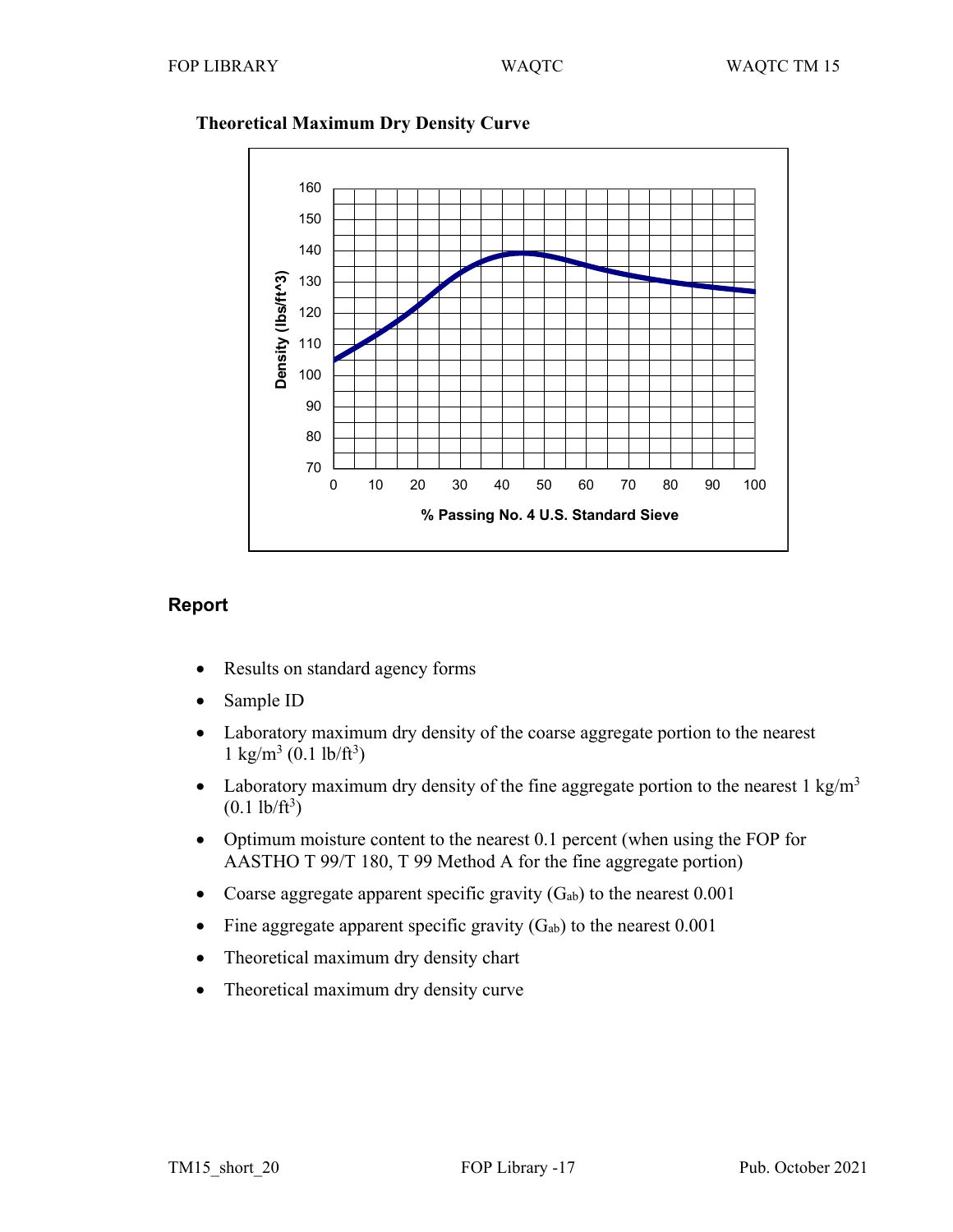

# **Theoretical Maximum Dry Density Curve**

# **Report**

- Results on standard agency forms
- Sample ID
- Laboratory maximum dry density of the coarse aggregate portion to the nearest  $1 \text{ kg/m}^3 (0.1 \text{ lb/ft}^3)$
- Laboratory maximum dry density of the fine aggregate portion to the nearest  $1 \text{ kg/m}^3$  $(0.1 \text{ lb/ft}^3)$
- Optimum moisture content to the nearest 0.1 percent (when using the FOP for AASTHO T 99/T 180, T 99 Method A for the fine aggregate portion)
- Coarse aggregate apparent specific gravity  $(G_{ab})$  to the nearest 0.001
- Fine aggregate apparent specific gravity  $(G_{ab})$  to the nearest 0.001
- Theoretical maximum dry density chart
- Theoretical maximum dry density curve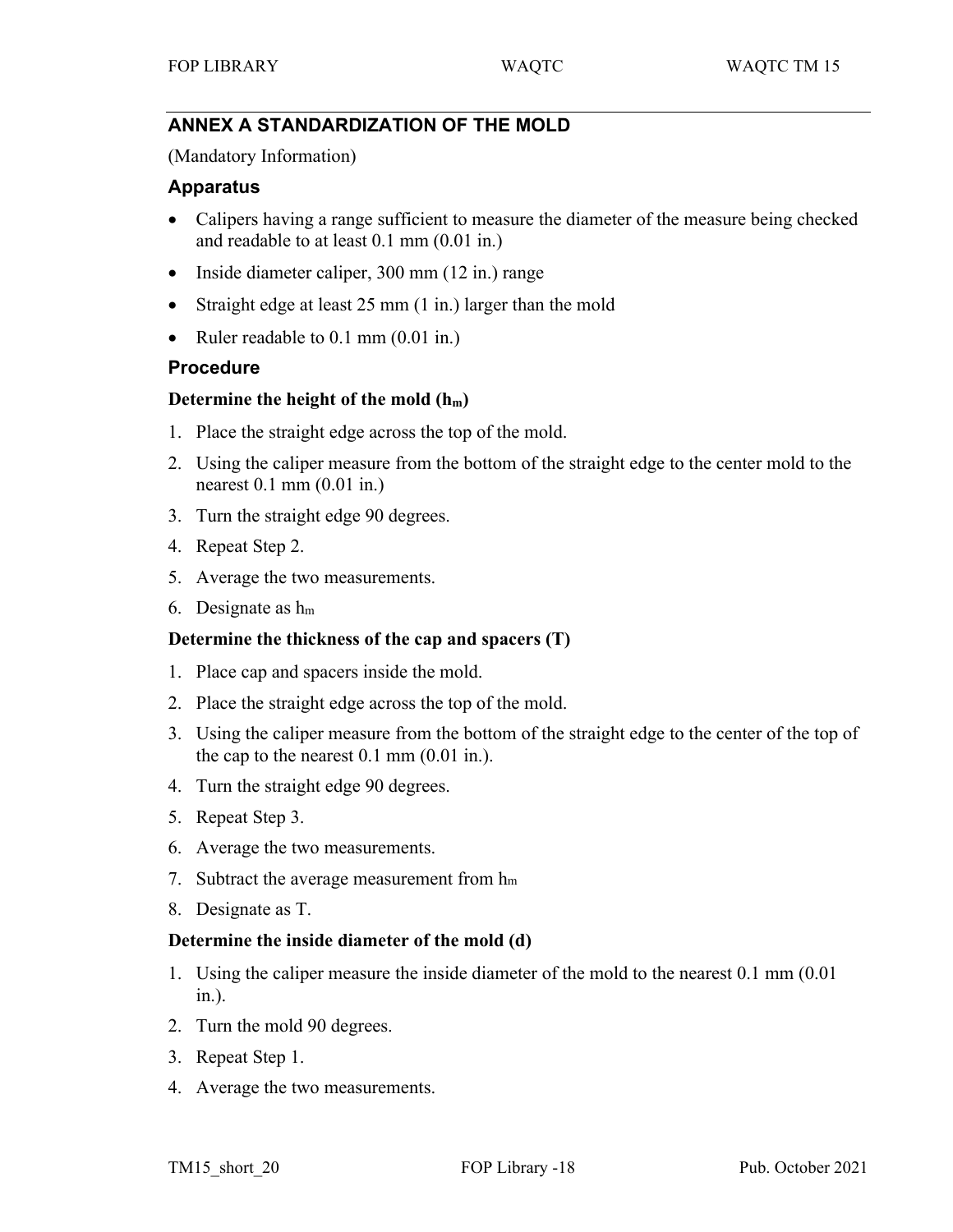# **ANNEX A STANDARDIZATION OF THE MOLD**

(Mandatory Information)

## **Apparatus**

- Calipers having a range sufficient to measure the diameter of the measure being checked and readable to at least 0.1 mm (0.01 in.)
- Inside diameter caliper, 300 mm (12 in.) range
- Straight edge at least 25 mm (1 in.) larger than the mold
- Ruler readable to 0.1 mm (0.01 in.)

## **Procedure**

## **Determine the height of the mold (hm)**

- 1. Place the straight edge across the top of the mold.
- 2. Using the caliper measure from the bottom of the straight edge to the center mold to the nearest 0.1 mm (0.01 in.)
- 3. Turn the straight edge 90 degrees.
- 4. Repeat Step 2.
- 5. Average the two measurements.
- 6. Designate as hm

## **Determine the thickness of the cap and spacers (T)**

- 1. Place cap and spacers inside the mold.
- 2. Place the straight edge across the top of the mold.
- 3. Using the caliper measure from the bottom of the straight edge to the center of the top of the cap to the nearest  $0.1 \text{ mm}$   $(0.01 \text{ in.})$ .
- 4. Turn the straight edge 90 degrees.
- 5. Repeat Step 3.
- 6. Average the two measurements.
- 7. Subtract the average measurement from  $h_m$
- 8. Designate as T.

## **Determine the inside diameter of the mold (d)**

- 1. Using the caliper measure the inside diameter of the mold to the nearest 0.1 mm (0.01 in.).
- 2. Turn the mold 90 degrees.
- 3. Repeat Step 1.
- 4. Average the two measurements.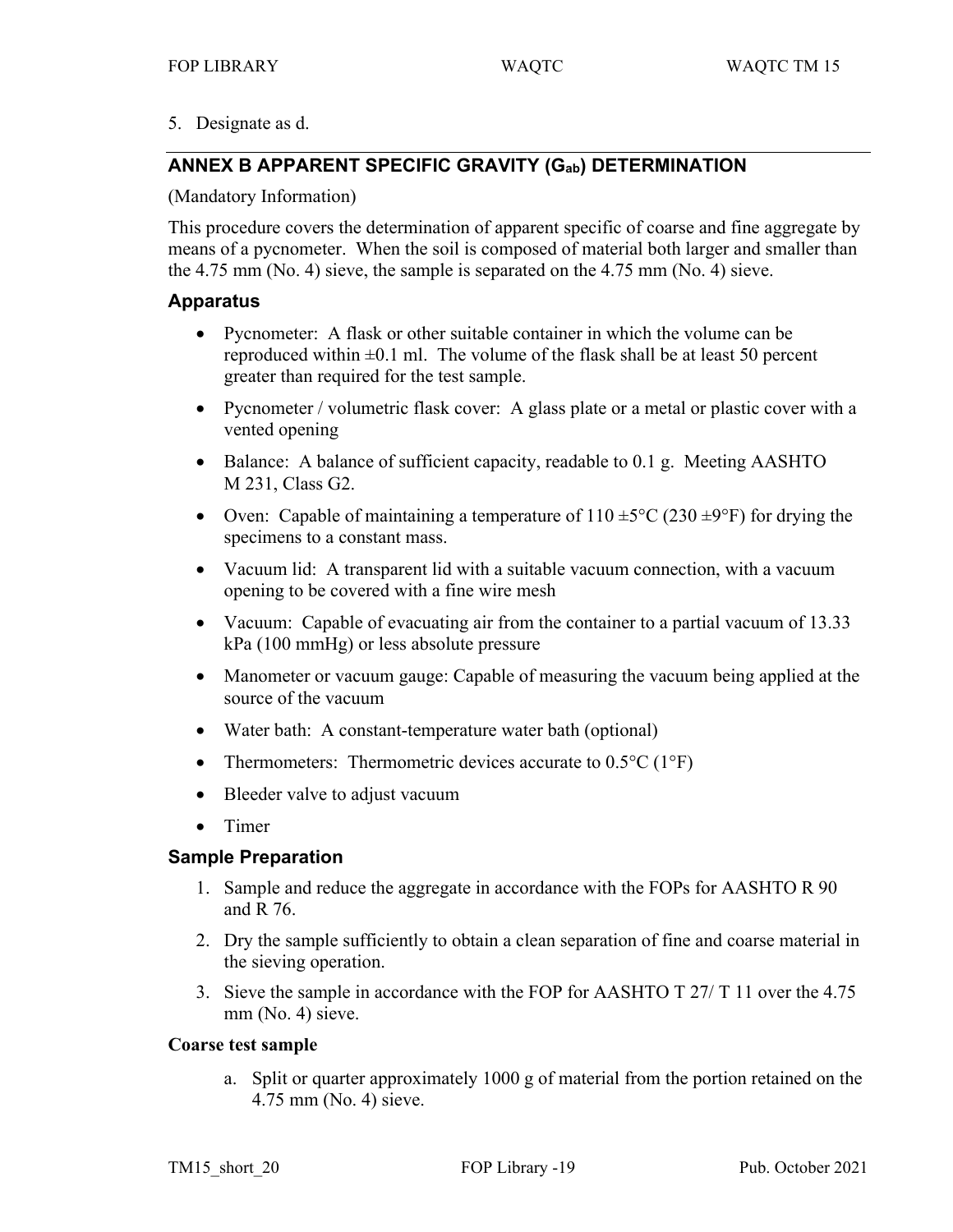5. Designate as d.

# **ANNEX B APPARENT SPECIFIC GRAVITY (Gab) DETERMINATION**

## (Mandatory Information)

This procedure covers the determination of apparent specific of coarse and fine aggregate by means of a pycnometer. When the soil is composed of material both larger and smaller than the 4.75 mm (No. 4) sieve, the sample is separated on the 4.75 mm (No. 4) sieve.

## **Apparatus**

- Pycnometer: A flask or other suitable container in which the volume can be reproduced within  $\pm 0.1$  ml. The volume of the flask shall be at least 50 percent greater than required for the test sample.
- Pycnometer / volumetric flask cover: A glass plate or a metal or plastic cover with a vented opening
- Balance: A balance of sufficient capacity, readable to 0.1 g. Meeting AASHTO M 231, Class G2.
- Oven: Capable of maintaining a temperature of  $110 \pm 5^{\circ}$ C (230  $\pm 9^{\circ}$ F) for drying the specimens to a constant mass.
- Vacuum lid: A transparent lid with a suitable vacuum connection, with a vacuum opening to be covered with a fine wire mesh
- Vacuum: Capable of evacuating air from the container to a partial vacuum of 13.33 kPa (100 mmHg) or less absolute pressure
- Manometer or vacuum gauge: Capable of measuring the vacuum being applied at the source of the vacuum
- Water bath: A constant-temperature water bath (optional)
- Thermometers: Thermometric devices accurate to  $0.5^{\circ}C(1^{\circ}F)$
- Bleeder valve to adjust vacuum
- Timer

# **Sample Preparation**

- 1. Sample and reduce the aggregate in accordance with the FOPs for AASHTO R 90 and R 76.
- 2. Dry the sample sufficiently to obtain a clean separation of fine and coarse material in the sieving operation.
- 3. Sieve the sample in accordance with the FOP for AASHTO T 27/ T 11 over the 4.75 mm (No. 4) sieve.

## **Coarse test sample**

a. Split or quarter approximately 1000 g of material from the portion retained on the 4.75 mm (No. 4) sieve.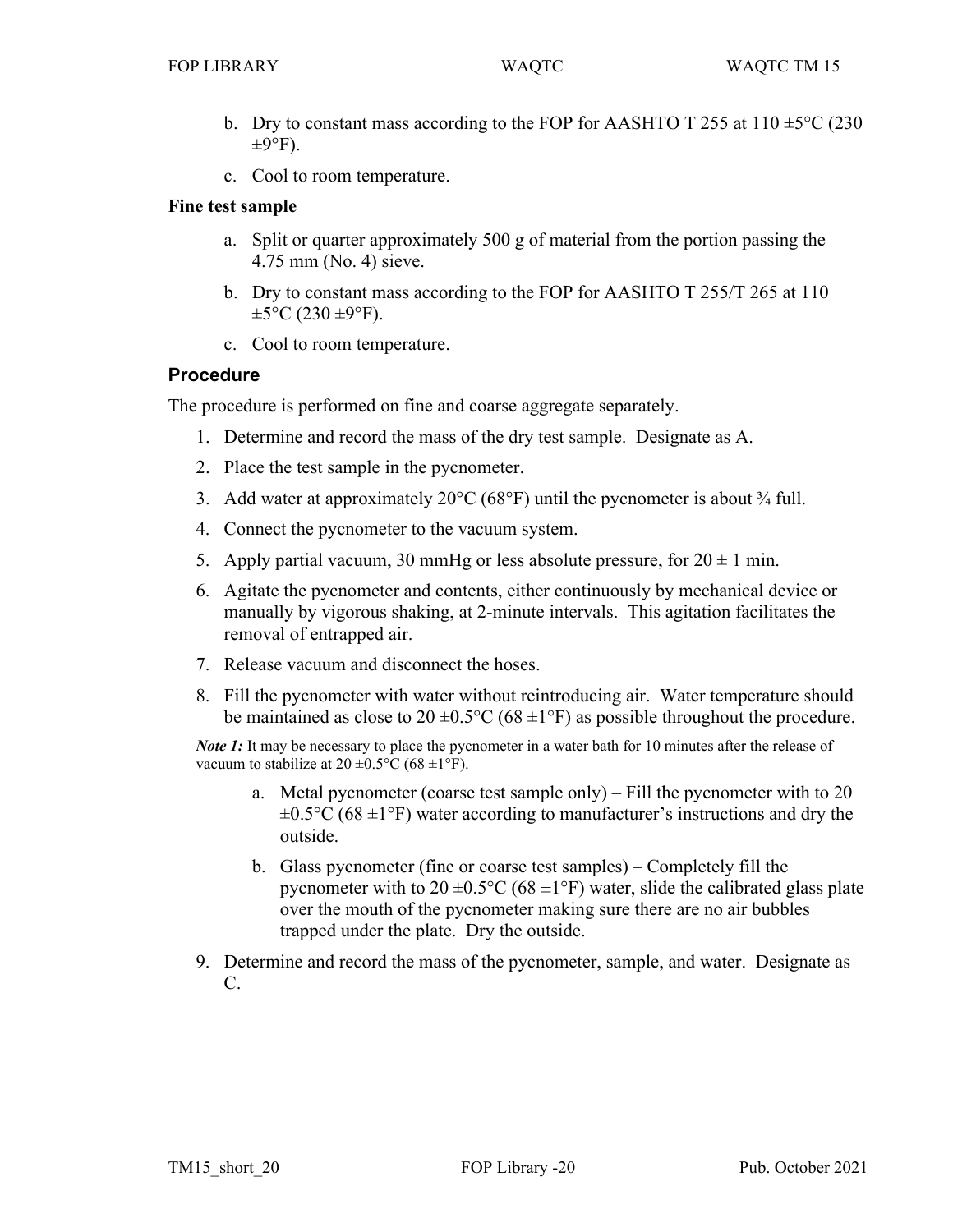- b. Dry to constant mass according to the FOP for AASHTO T 255 at 110  $\pm$ 5°C (230)  $\pm 9^\circ F$ ).
- c. Cool to room temperature.

## **Fine test sample**

- a. Split or quarter approximately 500 g of material from the portion passing the 4.75 mm (No. 4) sieve.
- b. Dry to constant mass according to the FOP for AASHTO T 255/T 265 at 110  $\pm 5^{\circ}$ C (230  $\pm 9^{\circ}$ F).
- c. Cool to room temperature.

# **Procedure**

The procedure is performed on fine and coarse aggregate separately.

- 1. Determine and record the mass of the dry test sample. Designate as A.
- 2. Place the test sample in the pycnometer.
- 3. Add water at approximately 20 $\degree$ C (68 $\degree$ F) until the pycnometer is about  $\frac{3}{4}$  full.
- 4. Connect the pycnometer to the vacuum system.
- 5. Apply partial vacuum, 30 mmHg or less absolute pressure, for  $20 \pm 1$  min.
- 6. Agitate the pycnometer and contents, either continuously by mechanical device or manually by vigorous shaking, at 2-minute intervals. This agitation facilitates the removal of entrapped air.
- 7. Release vacuum and disconnect the hoses.
- 8. Fill the pycnometer with water without reintroducing air. Water temperature should be maintained as close to  $20 \pm 0.5^{\circ}C$  (68  $\pm 1^{\circ}F$ ) as possible throughout the procedure.

*Note 1*: It may be necessary to place the pycnometer in a water bath for 10 minutes after the release of vacuum to stabilize at  $20 \pm 0.5^{\circ}$ C (68  $\pm 1^{\circ}$ F).

- a. Metal pycnometer (coarse test sample only) Fill the pycnometer with to 20  $\pm 0.5$ °C (68  $\pm$ 1°F) water according to manufacturer's instructions and dry the outside.
- b. Glass pycnometer (fine or coarse test samples) Completely fill the pycnometer with to  $20 \pm 0.5^{\circ}$ C (68  $\pm 1^{\circ}$ F) water, slide the calibrated glass plate over the mouth of the pycnometer making sure there are no air bubbles trapped under the plate. Dry the outside.
- 9. Determine and record the mass of the pycnometer, sample, and water. Designate as C.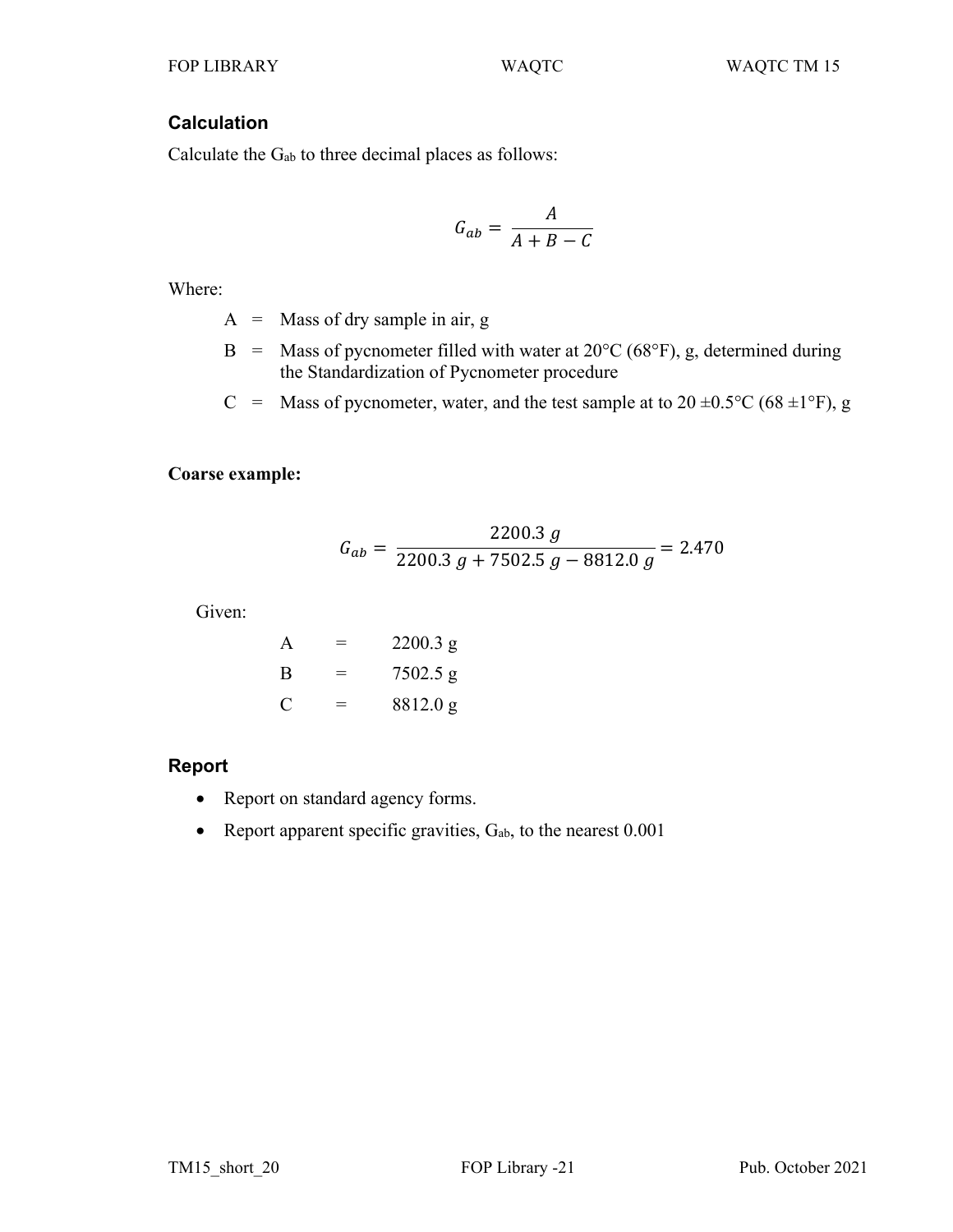# **Calculation**

Calculate the Gab to three decimal places as follows:

$$
G_{ab} = \frac{A}{A+B-C}
$$

Where:

- A = Mass of dry sample in air, g
- B = Mass of pycnometer filled with water at  $20^{\circ}$ C (68°F), g, determined during the Standardization of Pycnometer procedure
- C = Mass of pycnometer, water, and the test sample at to  $20 \pm 0.5^{\circ}$ C (68  $\pm 1^{\circ}$ F), g

# **Coarse example:**

$$
G_{ab} = \frac{2200.3 \ g}{2200.3 \ g + 7502.5 \ g - 8812.0 \ g} = 2.470
$$

Given:

| A | $=$ | 2200.3 g   |
|---|-----|------------|
| В | $=$ | $7502.5$ g |
| C | $=$ | 8812.0 g   |

# **Report**

- Report on standard agency forms.
- Report apparent specific gravities,  $G_{ab}$ , to the nearest  $0.001$